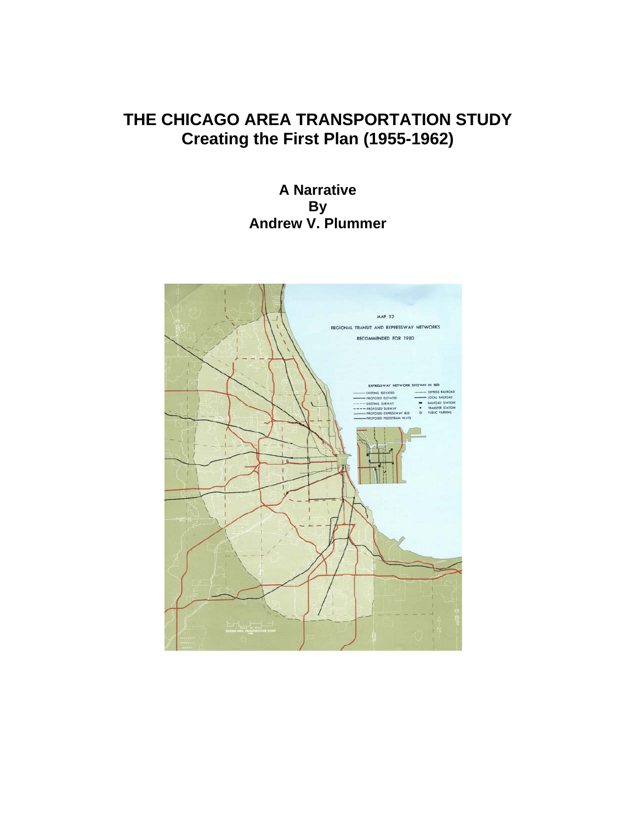# **THE CHICAGO AREA TRANSPORTATION STUDY Creating the First Plan (1955-1962)**

# **A Narrative By Andrew V. Plummer**

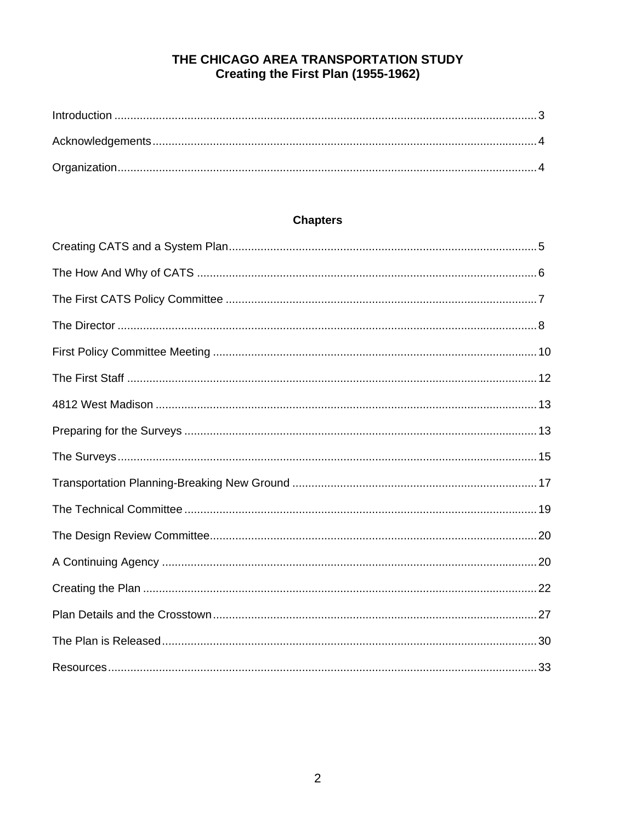# THE CHICAGO AREA TRANSPORTATION STUDY Creating the First Plan (1955-1962)

# **Chapters**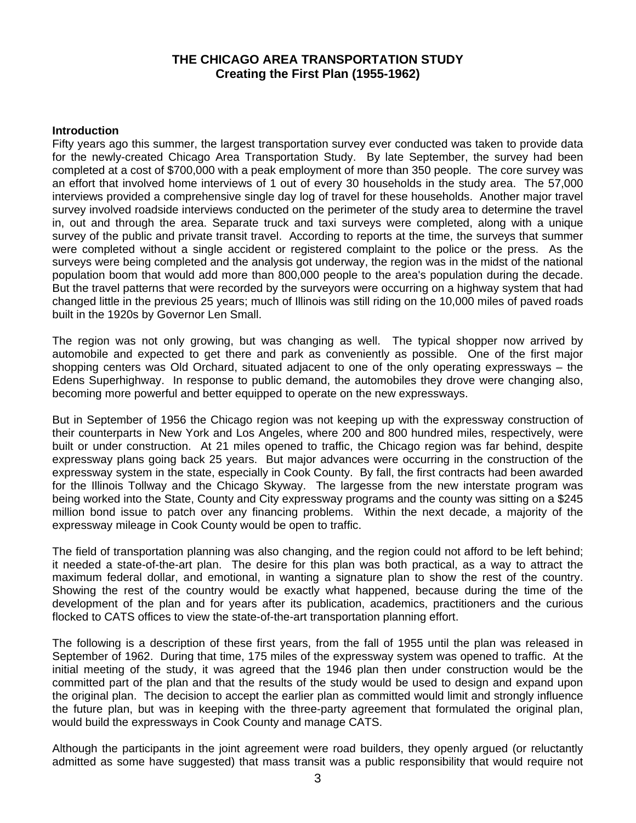### **THE CHICAGO AREA TRANSPORTATION STUDY Creating the First Plan (1955-1962)**

#### **Introduction**

Fifty years ago this summer, the largest transportation survey ever conducted was taken to provide data for the newly-created Chicago Area Transportation Study. By late September, the survey had been completed at a cost of \$700,000 with a peak employment of more than 350 people. The core survey was an effort that involved home interviews of 1 out of every 30 households in the study area. The 57,000 interviews provided a comprehensive single day log of travel for these households. Another major travel survey involved roadside interviews conducted on the perimeter of the study area to determine the travel in, out and through the area. Separate truck and taxi surveys were completed, along with a unique survey of the public and private transit travel. According to reports at the time, the surveys that summer were completed without a single accident or registered complaint to the police or the press. As the surveys were being completed and the analysis got underway, the region was in the midst of the national population boom that would add more than 800,000 people to the area's population during the decade. But the travel patterns that were recorded by the surveyors were occurring on a highway system that had changed little in the previous 25 years; much of Illinois was still riding on the 10,000 miles of paved roads built in the 1920s by Governor Len Small.

The region was not only growing, but was changing as well. The typical shopper now arrived by automobile and expected to get there and park as conveniently as possible. One of the first major shopping centers was Old Orchard, situated adjacent to one of the only operating expressways – the Edens Superhighway. In response to public demand, the automobiles they drove were changing also, becoming more powerful and better equipped to operate on the new expressways.

But in September of 1956 the Chicago region was not keeping up with the expressway construction of their counterparts in New York and Los Angeles, where 200 and 800 hundred miles, respectively, were built or under construction. At 21 miles opened to traffic, the Chicago region was far behind, despite expressway plans going back 25 years. But major advances were occurring in the construction of the expressway system in the state, especially in Cook County. By fall, the first contracts had been awarded for the Illinois Tollway and the Chicago Skyway. The largesse from the new interstate program was being worked into the State, County and City expressway programs and the county was sitting on a \$245 million bond issue to patch over any financing problems. Within the next decade, a majority of the expressway mileage in Cook County would be open to traffic.

The field of transportation planning was also changing, and the region could not afford to be left behind; it needed a state-of-the-art plan. The desire for this plan was both practical, as a way to attract the maximum federal dollar, and emotional, in wanting a signature plan to show the rest of the country. Showing the rest of the country would be exactly what happened, because during the time of the development of the plan and for years after its publication, academics, practitioners and the curious flocked to CATS offices to view the state-of-the-art transportation planning effort.

The following is a description of these first years, from the fall of 1955 until the plan was released in September of 1962. During that time, 175 miles of the expressway system was opened to traffic. At the initial meeting of the study, it was agreed that the 1946 plan then under construction would be the committed part of the plan and that the results of the study would be used to design and expand upon the original plan. The decision to accept the earlier plan as committed would limit and strongly influence the future plan, but was in keeping with the three-party agreement that formulated the original plan, would build the expressways in Cook County and manage CATS.

Although the participants in the joint agreement were road builders, they openly argued (or reluctantly admitted as some have suggested) that mass transit was a public responsibility that would require not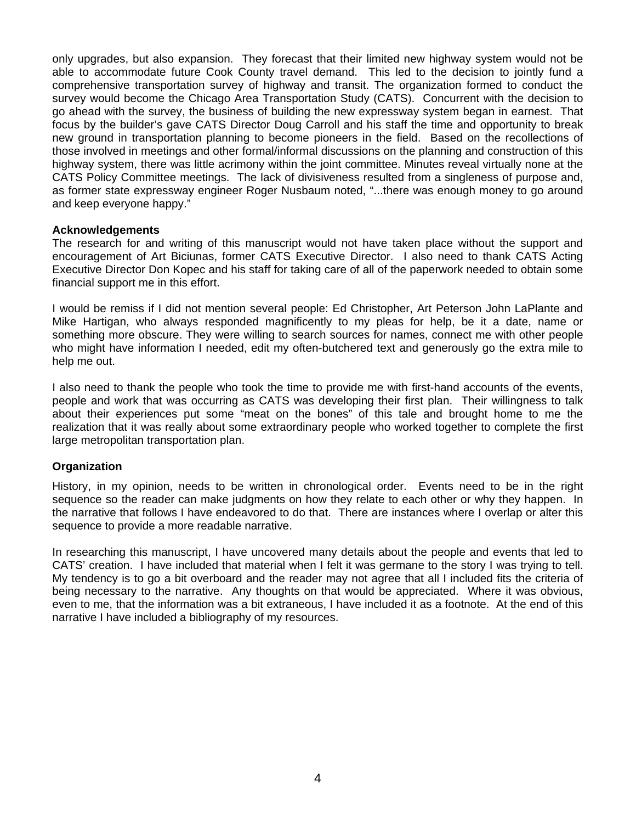only upgrades, but also expansion. They forecast that their limited new highway system would not be able to accommodate future Cook County travel demand. This led to the decision to jointly fund a comprehensive transportation survey of highway and transit. The organization formed to conduct the survey would become the Chicago Area Transportation Study (CATS). Concurrent with the decision to go ahead with the survey, the business of building the new expressway system began in earnest. That focus by the builder's gave CATS Director Doug Carroll and his staff the time and opportunity to break new ground in transportation planning to become pioneers in the field. Based on the recollections of those involved in meetings and other formal/informal discussions on the planning and construction of this highway system, there was little acrimony within the joint committee. Minutes reveal virtually none at the CATS Policy Committee meetings. The lack of divisiveness resulted from a singleness of purpose and, as former state expressway engineer Roger Nusbaum noted, "...there was enough money to go around and keep everyone happy."

#### **Acknowledgements**

The research for and writing of this manuscript would not have taken place without the support and encouragement of Art Biciunas, former CATS Executive Director. I also need to thank CATS Acting Executive Director Don Kopec and his staff for taking care of all of the paperwork needed to obtain some financial support me in this effort.

I would be remiss if I did not mention several people: Ed Christopher, Art Peterson John LaPlante and Mike Hartigan, who always responded magnificently to my pleas for help, be it a date, name or something more obscure. They were willing to search sources for names, connect me with other people who might have information I needed, edit my often-butchered text and generously go the extra mile to help me out.

I also need to thank the people who took the time to provide me with first-hand accounts of the events, people and work that was occurring as CATS was developing their first plan. Their willingness to talk about their experiences put some "meat on the bones" of this tale and brought home to me the realization that it was really about some extraordinary people who worked together to complete the first large metropolitan transportation plan.

#### **Organization**

History, in my opinion, needs to be written in chronological order. Events need to be in the right sequence so the reader can make judgments on how they relate to each other or why they happen. In the narrative that follows I have endeavored to do that. There are instances where I overlap or alter this sequence to provide a more readable narrative.

In researching this manuscript, I have uncovered many details about the people and events that led to CATS' creation. I have included that material when I felt it was germane to the story I was trying to tell. My tendency is to go a bit overboard and the reader may not agree that all I included fits the criteria of being necessary to the narrative. Any thoughts on that would be appreciated. Where it was obvious, even to me, that the information was a bit extraneous, I have included it as a footnote. At the end of this narrative I have included a bibliography of my resources.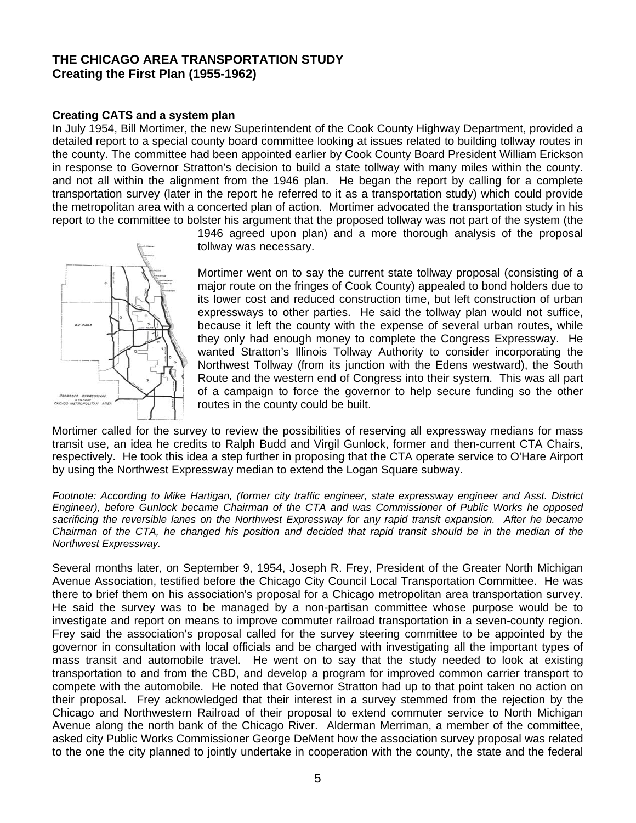## **THE CHICAGO AREA TRANSPORTATION STUDY Creating the First Plan (1955-1962)**

#### **Creating CATS and a system plan**

In July 1954, Bill Mortimer, the new Superintendent of the Cook County Highway Department, provided a detailed report to a special county board committee looking at issues related to building tollway routes in the county. The committee had been appointed earlier by Cook County Board President William Erickson in response to Governor Stratton's decision to build a state tollway with many miles within the county. and not all within the alignment from the 1946 plan. He began the report by calling for a complete transportation survey (later in the report he referred to it as a transportation study) which could provide the metropolitan area with a concerted plan of action. Mortimer advocated the transportation study in his report to the committee to bolster his argument that the proposed tollway was not part of the system (the



1946 agreed upon plan) and a more thorough analysis of the proposal tollway was necessary.

Mortimer went on to say the current state tollway proposal (consisting of a major route on the fringes of Cook County) appealed to bond holders due to its lower cost and reduced construction time, but left construction of urban expressways to other parties. He said the tollway plan would not suffice, because it left the county with the expense of several urban routes, while they only had enough money to complete the Congress Expressway. He wanted Stratton's Illinois Tollway Authority to consider incorporating the Northwest Tollway (from its junction with the Edens westward), the South Route and the western end of Congress into their system. This was all part of a campaign to force the governor to help secure funding so the other routes in the county could be built.

Mortimer called for the survey to review the possibilities of reserving all expressway medians for mass transit use, an idea he credits to Ralph Budd and Virgil Gunlock, former and then-current CTA Chairs, respectively. He took this idea a step further in proposing that the CTA operate service to O'Hare Airport by using the Northwest Expressway median to extend the Logan Square subway.

*Footnote: According to Mike Hartigan, (former city traffic engineer, state expressway engineer and Asst. District Engineer), before Gunlock became Chairman of the CTA and was Commissioner of Public Works he opposed*  sacrificing the reversible lanes on the Northwest Expressway for any rapid transit expansion. After he became *Chairman of the CTA, he changed his position and decided that rapid transit should be in the median of the Northwest Expressway.* 

Several months later, on September 9, 1954, Joseph R. Frey, President of the Greater North Michigan Avenue Association, testified before the Chicago City Council Local Transportation Committee. He was there to brief them on his association's proposal for a Chicago metropolitan area transportation survey. He said the survey was to be managed by a non-partisan committee whose purpose would be to investigate and report on means to improve commuter railroad transportation in a seven-county region. Frey said the association's proposal called for the survey steering committee to be appointed by the governor in consultation with local officials and be charged with investigating all the important types of mass transit and automobile travel. He went on to say that the study needed to look at existing transportation to and from the CBD, and develop a program for improved common carrier transport to compete with the automobile. He noted that Governor Stratton had up to that point taken no action on their proposal. Frey acknowledged that their interest in a survey stemmed from the rejection by the Chicago and Northwestern Railroad of their proposal to extend commuter service to North Michigan Avenue along the north bank of the Chicago River. Alderman Merriman, a member of the committee, asked city Public Works Commissioner George DeMent how the association survey proposal was related to the one the city planned to jointly undertake in cooperation with the county, the state and the federal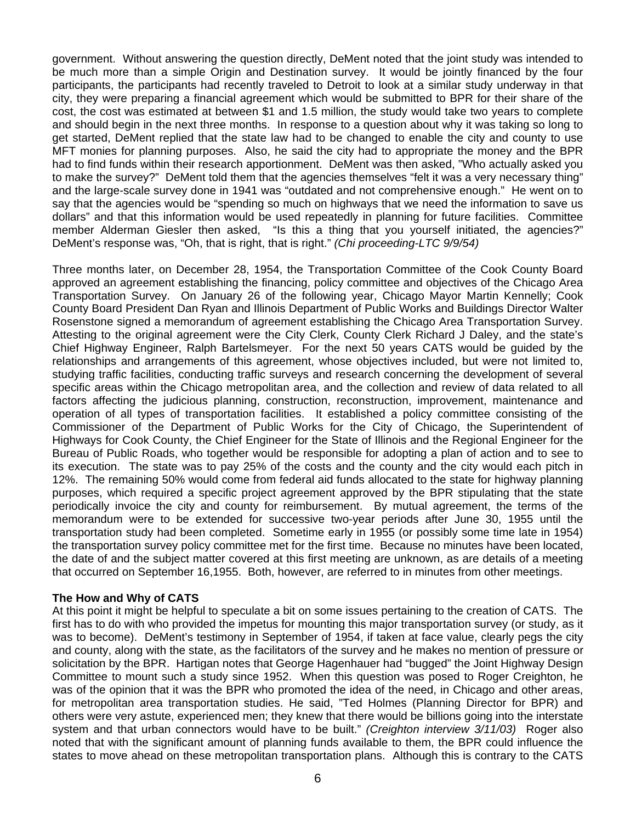government. Without answering the question directly, DeMent noted that the joint study was intended to be much more than a simple Origin and Destination survey. It would be jointly financed by the four participants, the participants had recently traveled to Detroit to look at a similar study underway in that city, they were preparing a financial agreement which would be submitted to BPR for their share of the cost, the cost was estimated at between \$1 and 1.5 million, the study would take two years to complete and should begin in the next three months. In response to a question about why it was taking so long to get started, DeMent replied that the state law had to be changed to enable the city and county to use MFT monies for planning purposes. Also, he said the city had to appropriate the money and the BPR had to find funds within their research apportionment. DeMent was then asked, "Who actually asked you to make the survey?" DeMent told them that the agencies themselves "felt it was a very necessary thing" and the large-scale survey done in 1941 was "outdated and not comprehensive enough." He went on to say that the agencies would be "spending so much on highways that we need the information to save us dollars" and that this information would be used repeatedly in planning for future facilities. Committee member Alderman Giesler then asked, "Is this a thing that you yourself initiated, the agencies?" DeMent's response was, "Oh, that is right, that is right." *(Chi proceeding-LTC 9/9/54)*

Three months later, on December 28, 1954, the Transportation Committee of the Cook County Board approved an agreement establishing the financing, policy committee and objectives of the Chicago Area Transportation Survey. On January 26 of the following year, Chicago Mayor Martin Kennelly; Cook County Board President Dan Ryan and Illinois Department of Public Works and Buildings Director Walter Rosenstone signed a memorandum of agreement establishing the Chicago Area Transportation Survey. Attesting to the original agreement were the City Clerk, County Clerk Richard J Daley, and the state's Chief Highway Engineer, Ralph Bartelsmeyer. For the next 50 years CATS would be guided by the relationships and arrangements of this agreement, whose objectives included, but were not limited to, studying traffic facilities, conducting traffic surveys and research concerning the development of several specific areas within the Chicago metropolitan area, and the collection and review of data related to all factors affecting the judicious planning, construction, reconstruction, improvement, maintenance and operation of all types of transportation facilities. It established a policy committee consisting of the Commissioner of the Department of Public Works for the City of Chicago, the Superintendent of Highways for Cook County, the Chief Engineer for the State of Illinois and the Regional Engineer for the Bureau of Public Roads, who together would be responsible for adopting a plan of action and to see to its execution. The state was to pay 25% of the costs and the county and the city would each pitch in 12%. The remaining 50% would come from federal aid funds allocated to the state for highway planning purposes, which required a specific project agreement approved by the BPR stipulating that the state periodically invoice the city and county for reimbursement. By mutual agreement, the terms of the memorandum were to be extended for successive two-year periods after June 30, 1955 until the transportation study had been completed. Sometime early in 1955 (or possibly some time late in 1954) the transportation survey policy committee met for the first time. Because no minutes have been located, the date of and the subject matter covered at this first meeting are unknown, as are details of a meeting that occurred on September 16,1955. Both, however, are referred to in minutes from other meetings.

#### **The How and Why of CATS**

At this point it might be helpful to speculate a bit on some issues pertaining to the creation of CATS. The first has to do with who provided the impetus for mounting this major transportation survey (or study, as it was to become). DeMent's testimony in September of 1954, if taken at face value, clearly pegs the city and county, along with the state, as the facilitators of the survey and he makes no mention of pressure or solicitation by the BPR. Hartigan notes that George Hagenhauer had "bugged" the Joint Highway Design Committee to mount such a study since 1952. When this question was posed to Roger Creighton, he was of the opinion that it was the BPR who promoted the idea of the need, in Chicago and other areas, for metropolitan area transportation studies. He said, "Ted Holmes (Planning Director for BPR) and others were very astute, experienced men; they knew that there would be billions going into the interstate system and that urban connectors would have to be built." *(Creighton interview 3/11/03)* Roger also noted that with the significant amount of planning funds available to them, the BPR could influence the states to move ahead on these metropolitan transportation plans. Although this is contrary to the CATS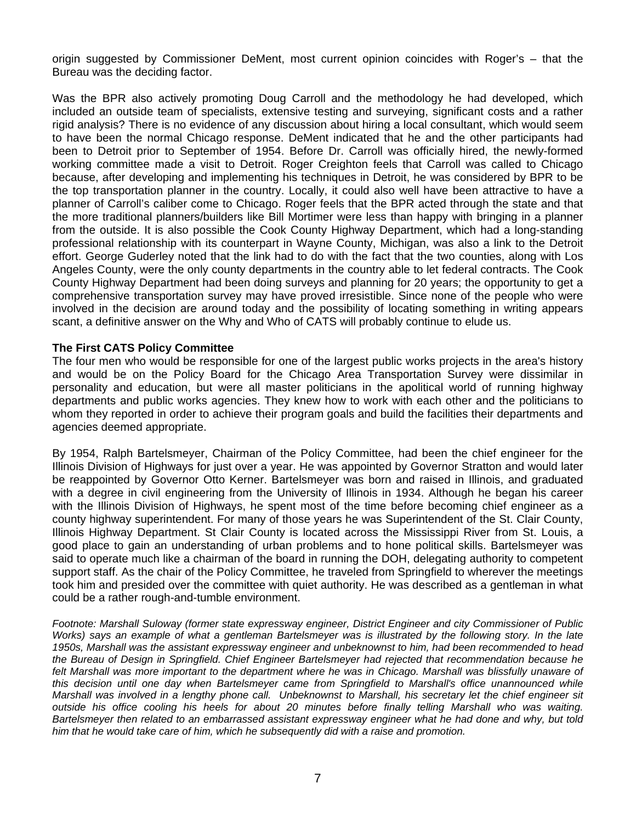origin suggested by Commissioner DeMent, most current opinion coincides with Roger's – that the Bureau was the deciding factor.

Was the BPR also actively promoting Doug Carroll and the methodology he had developed, which included an outside team of specialists, extensive testing and surveying, significant costs and a rather rigid analysis? There is no evidence of any discussion about hiring a local consultant, which would seem to have been the normal Chicago response. DeMent indicated that he and the other participants had been to Detroit prior to September of 1954. Before Dr. Carroll was officially hired, the newly-formed working committee made a visit to Detroit. Roger Creighton feels that Carroll was called to Chicago because, after developing and implementing his techniques in Detroit, he was considered by BPR to be the top transportation planner in the country. Locally, it could also well have been attractive to have a planner of Carroll's caliber come to Chicago. Roger feels that the BPR acted through the state and that the more traditional planners/builders like Bill Mortimer were less than happy with bringing in a planner from the outside. It is also possible the Cook County Highway Department, which had a long-standing professional relationship with its counterpart in Wayne County, Michigan, was also a link to the Detroit effort. George Guderley noted that the link had to do with the fact that the two counties, along with Los Angeles County, were the only county departments in the country able to let federal contracts. The Cook County Highway Department had been doing surveys and planning for 20 years; the opportunity to get a comprehensive transportation survey may have proved irresistible. Since none of the people who were involved in the decision are around today and the possibility of locating something in writing appears scant, a definitive answer on the Why and Who of CATS will probably continue to elude us.

#### **The First CATS Policy Committee**

The four men who would be responsible for one of the largest public works projects in the area's history and would be on the Policy Board for the Chicago Area Transportation Survey were dissimilar in personality and education, but were all master politicians in the apolitical world of running highway departments and public works agencies. They knew how to work with each other and the politicians to whom they reported in order to achieve their program goals and build the facilities their departments and agencies deemed appropriate.

By 1954, Ralph Bartelsmeyer, Chairman of the Policy Committee, had been the chief engineer for the Illinois Division of Highways for just over a year. He was appointed by Governor Stratton and would later be reappointed by Governor Otto Kerner. Bartelsmeyer was born and raised in Illinois, and graduated with a degree in civil engineering from the University of Illinois in 1934. Although he began his career with the Illinois Division of Highways, he spent most of the time before becoming chief engineer as a county highway superintendent. For many of those years he was Superintendent of the St. Clair County, Illinois Highway Department. St Clair County is located across the Mississippi River from St. Louis, a good place to gain an understanding of urban problems and to hone political skills. Bartelsmeyer was said to operate much like a chairman of the board in running the DOH, delegating authority to competent support staff. As the chair of the Policy Committee, he traveled from Springfield to wherever the meetings took him and presided over the committee with quiet authority. He was described as a gentleman in what could be a rather rough-and-tumble environment.

*Footnote: Marshall Suloway (former state expressway engineer, District Engineer and city Commissioner of Public Works*) says an example of what a gentleman Bartelsmeyer was is illustrated by the following story. In the late *1950s, Marshall was the assistant expressway engineer and unbeknownst to him, had been recommended to head the Bureau of Design in Springfield. Chief Engineer Bartelsmeyer had rejected that recommendation because he*  felt Marshall was more important to the department where he was in Chicago. Marshall was blissfully unaware of *this decision until one day when Bartelsmeyer came from Springfield to Marshall's office unannounced while Marshall was involved in a lengthy phone call. Unbeknownst to Marshall, his secretary let the chief engineer sit outside his office cooling his heels for about 20 minutes before finally telling Marshall who was waiting. Bartelsmeyer then related to an embarrassed assistant expressway engineer what he had done and why, but told him that he would take care of him, which he subsequently did with a raise and promotion.*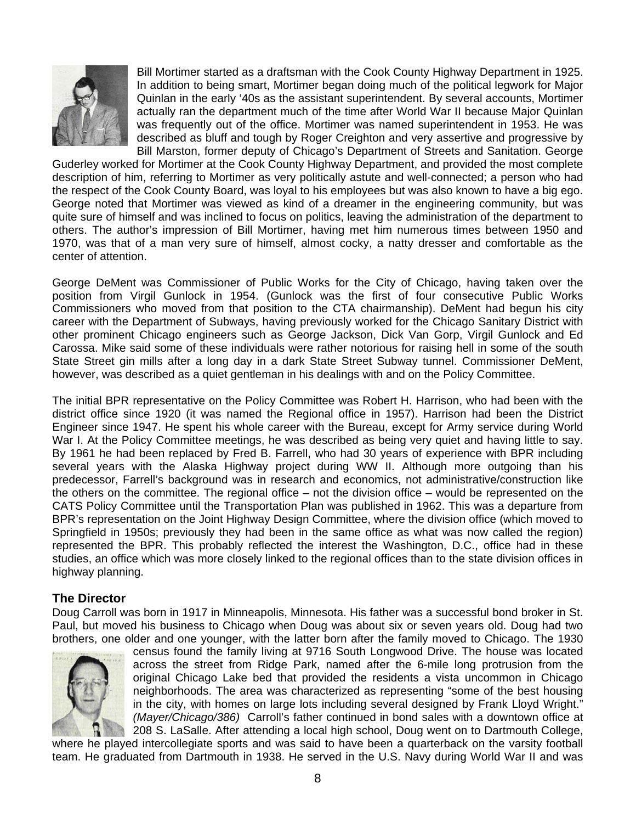

Bill Mortimer started as a draftsman with the Cook County Highway Department in 1925. In addition to being smart, Mortimer began doing much of the political legwork for Major Quinlan in the early '40s as the assistant superintendent. By several accounts, Mortimer actually ran the department much of the time after World War II because Major Quinlan was frequently out of the office. Mortimer was named superintendent in 1953. He was described as bluff and tough by Roger Creighton and very assertive and progressive by Bill Marston, former deputy of Chicago's Department of Streets and Sanitation. George

Guderley worked for Mortimer at the Cook County Highway Department, and provided the most complete description of him, referring to Mortimer as very politically astute and well-connected; a person who had the respect of the Cook County Board, was loyal to his employees but was also known to have a big ego. George noted that Mortimer was viewed as kind of a dreamer in the engineering community, but was quite sure of himself and was inclined to focus on politics, leaving the administration of the department to others. The author's impression of Bill Mortimer, having met him numerous times between 1950 and 1970, was that of a man very sure of himself, almost cocky, a natty dresser and comfortable as the center of attention.

George DeMent was Commissioner of Public Works for the City of Chicago, having taken over the position from Virgil Gunlock in 1954. (Gunlock was the first of four consecutive Public Works Commissioners who moved from that position to the CTA chairmanship). DeMent had begun his city career with the Department of Subways, having previously worked for the Chicago Sanitary District with other prominent Chicago engineers such as George Jackson, Dick Van Gorp, Virgil Gunlock and Ed Carossa. Mike said some of these individuals were rather notorious for raising hell in some of the south State Street gin mills after a long day in a dark State Street Subway tunnel. Commissioner DeMent, however, was described as a quiet gentleman in his dealings with and on the Policy Committee.

The initial BPR representative on the Policy Committee was Robert H. Harrison, who had been with the district office since 1920 (it was named the Regional office in 1957). Harrison had been the District Engineer since 1947. He spent his whole career with the Bureau, except for Army service during World War I. At the Policy Committee meetings, he was described as being very quiet and having little to say. By 1961 he had been replaced by Fred B. Farrell, who had 30 years of experience with BPR including several years with the Alaska Highway project during WW II. Although more outgoing than his predecessor, Farrell's background was in research and economics, not administrative/construction like the others on the committee. The regional office – not the division office – would be represented on the CATS Policy Committee until the Transportation Plan was published in 1962. This was a departure from BPR's representation on the Joint Highway Design Committee, where the division office (which moved to Springfield in 1950s; previously they had been in the same office as what was now called the region) represented the BPR. This probably reflected the interest the Washington, D.C., office had in these studies, an office which was more closely linked to the regional offices than to the state division offices in highway planning.

#### **The Director**

Doug Carroll was born in 1917 in Minneapolis, Minnesota. His father was a successful bond broker in St. Paul, but moved his business to Chicago when Doug was about six or seven years old. Doug had two brothers, one older and one younger, with the latter born after the family moved to Chicago. The 1930



census found the family living at 9716 South Longwood Drive. The house was located across the street from Ridge Park, named after the 6-mile long protrusion from the original Chicago Lake bed that provided the residents a vista uncommon in Chicago neighborhoods. The area was characterized as representing "some of the best housing in the city, with homes on large lots including several designed by Frank Lloyd Wright." *(Mayer/Chicago/386)* Carroll's father continued in bond sales with a downtown office at 208 S. LaSalle. After attending a local high school, Doug went on to Dartmouth College,

where he played intercollegiate sports and was said to have been a quarterback on the varsity football team. He graduated from Dartmouth in 1938. He served in the U.S. Navy during World War II and was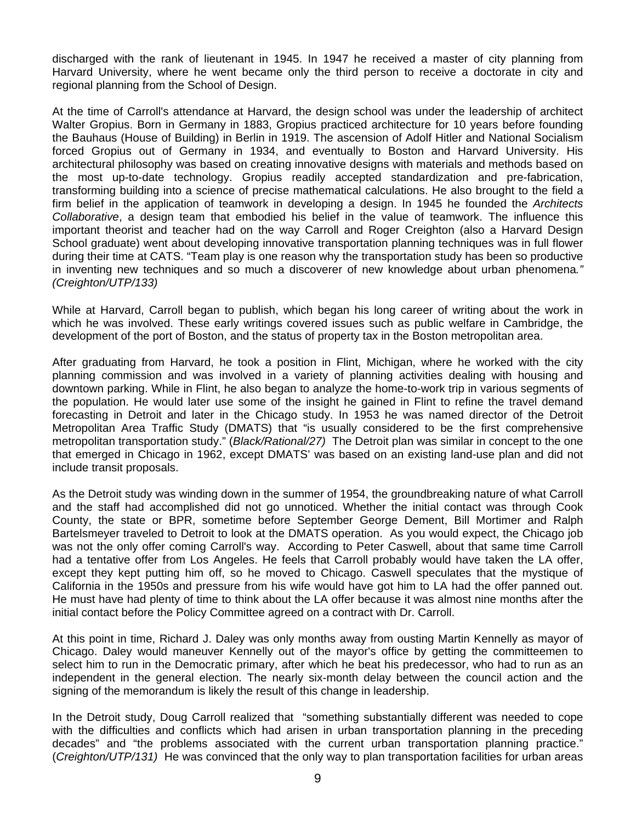discharged with the rank of lieutenant in 1945. In 1947 he received a master of city planning from Harvard University, where he went became only the third person to receive a doctorate in city and regional planning from the School of Design.

At the time of Carroll's attendance at Harvard, the design school was under the leadership of architect Walter Gropius. Born in Germany in 1883, Gropius practiced architecture for 10 years before founding the Bauhaus (House of Building) in Berlin in 1919. The ascension of Adolf Hitler and National Socialism forced Gropius out of Germany in 1934, and eventually to Boston and Harvard University. His architectural philosophy was based on creating innovative designs with materials and methods based on the most up-to-date technology. Gropius readily accepted standardization and pre-fabrication, transforming building into a science of precise mathematical calculations. He also brought to the field a firm belief in the application of teamwork in developing a design. In 1945 he founded the *Architects Collaborative*, a design team that embodied his belief in the value of teamwork. The influence this important theorist and teacher had on the way Carroll and Roger Creighton (also a Harvard Design School graduate) went about developing innovative transportation planning techniques was in full flower during their time at CATS. "Team play is one reason why the transportation study has been so productive in inventing new techniques and so much a discoverer of new knowledge about urban phenomena*." (Creighton/UTP/133)* 

While at Harvard, Carroll began to publish, which began his long career of writing about the work in which he was involved. These early writings covered issues such as public welfare in Cambridge, the development of the port of Boston, and the status of property tax in the Boston metropolitan area.

After graduating from Harvard, he took a position in Flint, Michigan, where he worked with the city planning commission and was involved in a variety of planning activities dealing with housing and downtown parking. While in Flint, he also began to analyze the home-to-work trip in various segments of the population. He would later use some of the insight he gained in Flint to refine the travel demand forecasting in Detroit and later in the Chicago study. In 1953 he was named director of the Detroit Metropolitan Area Traffic Study (DMATS) that "is usually considered to be the first comprehensive metropolitan transportation study." (*Black/Rational/27)* The Detroit plan was similar in concept to the one that emerged in Chicago in 1962, except DMATS' was based on an existing land-use plan and did not include transit proposals.

As the Detroit study was winding down in the summer of 1954, the groundbreaking nature of what Carroll and the staff had accomplished did not go unnoticed. Whether the initial contact was through Cook County, the state or BPR, sometime before September George Dement, Bill Mortimer and Ralph Bartelsmeyer traveled to Detroit to look at the DMATS operation. As you would expect, the Chicago job was not the only offer coming Carroll's way. According to Peter Caswell, about that same time Carroll had a tentative offer from Los Angeles. He feels that Carroll probably would have taken the LA offer, except they kept putting him off, so he moved to Chicago. Caswell speculates that the mystique of California in the 1950s and pressure from his wife would have got him to LA had the offer panned out. He must have had plenty of time to think about the LA offer because it was almost nine months after the initial contact before the Policy Committee agreed on a contract with Dr. Carroll.

At this point in time, Richard J. Daley was only months away from ousting Martin Kennelly as mayor of Chicago. Daley would maneuver Kennelly out of the mayor's office by getting the committeemen to select him to run in the Democratic primary, after which he beat his predecessor, who had to run as an independent in the general election. The nearly six-month delay between the council action and the signing of the memorandum is likely the result of this change in leadership.

In the Detroit study, Doug Carroll realized that "something substantially different was needed to cope with the difficulties and conflicts which had arisen in urban transportation planning in the preceding decades" and "the problems associated with the current urban transportation planning practice." (*Creighton/UTP/131)* He was convinced that the only way to plan transportation facilities for urban areas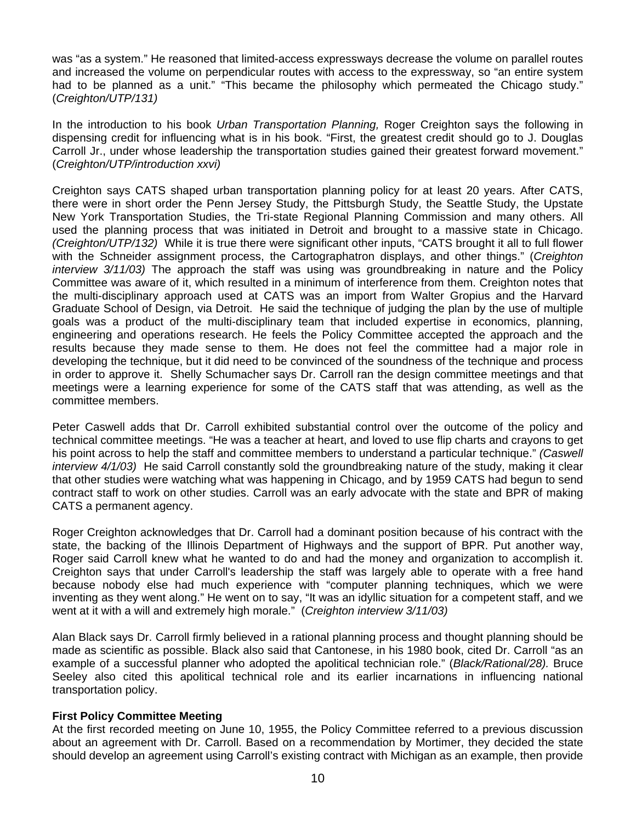was "as a system." He reasoned that limited-access expressways decrease the volume on parallel routes and increased the volume on perpendicular routes with access to the expressway, so "an entire system had to be planned as a unit." "This became the philosophy which permeated the Chicago study." (*Creighton/UTP/131)* 

In the introduction to his book *Urban Transportation Planning,* Roger Creighton says the following in dispensing credit for influencing what is in his book. "First, the greatest credit should go to J. Douglas Carroll Jr., under whose leadership the transportation studies gained their greatest forward movement." (*Creighton/UTP/introduction xxvi)* 

Creighton says CATS shaped urban transportation planning policy for at least 20 years. After CATS, there were in short order the Penn Jersey Study, the Pittsburgh Study, the Seattle Study, the Upstate New York Transportation Studies, the Tri-state Regional Planning Commission and many others. All used the planning process that was initiated in Detroit and brought to a massive state in Chicago. *(Creighton/UTP/132)* While it is true there were significant other inputs, "CATS brought it all to full flower with the Schneider assignment process, the Cartographatron displays, and other things." (*Creighton interview 3/11/03)* The approach the staff was using was groundbreaking in nature and the Policy Committee was aware of it, which resulted in a minimum of interference from them. Creighton notes that the multi-disciplinary approach used at CATS was an import from Walter Gropius and the Harvard Graduate School of Design, via Detroit. He said the technique of judging the plan by the use of multiple goals was a product of the multi-disciplinary team that included expertise in economics, planning, engineering and operations research. He feels the Policy Committee accepted the approach and the results because they made sense to them. He does not feel the committee had a major role in developing the technique, but it did need to be convinced of the soundness of the technique and process in order to approve it. Shelly Schumacher says Dr. Carroll ran the design committee meetings and that meetings were a learning experience for some of the CATS staff that was attending, as well as the committee members.

Peter Caswell adds that Dr. Carroll exhibited substantial control over the outcome of the policy and technical committee meetings. "He was a teacher at heart, and loved to use flip charts and crayons to get his point across to help the staff and committee members to understand a particular technique." *(Caswell interview 4/1/03)* He said Carroll constantly sold the groundbreaking nature of the study, making it clear that other studies were watching what was happening in Chicago, and by 1959 CATS had begun to send contract staff to work on other studies. Carroll was an early advocate with the state and BPR of making CATS a permanent agency.

Roger Creighton acknowledges that Dr. Carroll had a dominant position because of his contract with the state, the backing of the Illinois Department of Highways and the support of BPR. Put another way, Roger said Carroll knew what he wanted to do and had the money and organization to accomplish it. Creighton says that under Carroll's leadership the staff was largely able to operate with a free hand because nobody else had much experience with "computer planning techniques, which we were inventing as they went along." He went on to say, "It was an idyllic situation for a competent staff, and we went at it with a will and extremely high morale." (*Creighton interview 3/11/03)* 

Alan Black says Dr. Carroll firmly believed in a rational planning process and thought planning should be made as scientific as possible. Black also said that Cantonese, in his 1980 book, cited Dr. Carroll "as an example of a successful planner who adopted the apolitical technician role." (*Black/Rational/28).* Bruce Seeley also cited this apolitical technical role and its earlier incarnations in influencing national transportation policy.

#### **First Policy Committee Meeting**

At the first recorded meeting on June 10, 1955, the Policy Committee referred to a previous discussion about an agreement with Dr. Carroll. Based on a recommendation by Mortimer, they decided the state should develop an agreement using Carroll's existing contract with Michigan as an example, then provide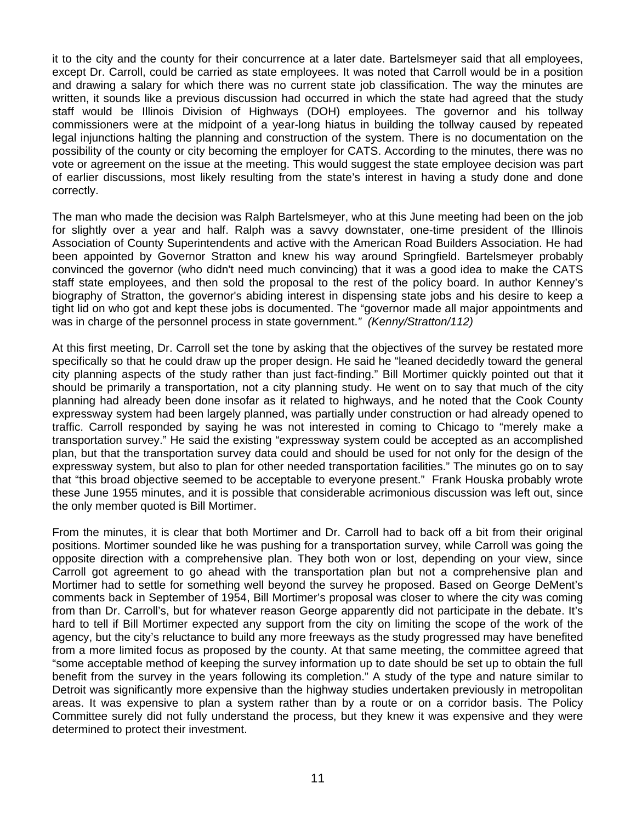it to the city and the county for their concurrence at a later date. Bartelsmeyer said that all employees, except Dr. Carroll, could be carried as state employees. It was noted that Carroll would be in a position and drawing a salary for which there was no current state job classification. The way the minutes are written, it sounds like a previous discussion had occurred in which the state had agreed that the study staff would be Illinois Division of Highways (DOH) employees. The governor and his tollway commissioners were at the midpoint of a year-long hiatus in building the tollway caused by repeated legal injunctions halting the planning and construction of the system. There is no documentation on the possibility of the county or city becoming the employer for CATS. According to the minutes, there was no vote or agreement on the issue at the meeting. This would suggest the state employee decision was part of earlier discussions, most likely resulting from the state's interest in having a study done and done correctly.

The man who made the decision was Ralph Bartelsmeyer, who at this June meeting had been on the job for slightly over a year and half. Ralph was a savvy downstater, one-time president of the Illinois Association of County Superintendents and active with the American Road Builders Association. He had been appointed by Governor Stratton and knew his way around Springfield. Bartelsmeyer probably convinced the governor (who didn't need much convincing) that it was a good idea to make the CATS staff state employees, and then sold the proposal to the rest of the policy board. In author Kenney's biography of Stratton, the governor's abiding interest in dispensing state jobs and his desire to keep a tight lid on who got and kept these jobs is documented. The "governor made all major appointments and was in charge of the personnel process in state government.*" (Kenny/Stratton/112)* 

At this first meeting, Dr. Carroll set the tone by asking that the objectives of the survey be restated more specifically so that he could draw up the proper design. He said he "leaned decidedly toward the general city planning aspects of the study rather than just fact-finding." Bill Mortimer quickly pointed out that it should be primarily a transportation, not a city planning study. He went on to say that much of the city planning had already been done insofar as it related to highways, and he noted that the Cook County expressway system had been largely planned, was partially under construction or had already opened to traffic. Carroll responded by saying he was not interested in coming to Chicago to "merely make a transportation survey." He said the existing "expressway system could be accepted as an accomplished plan, but that the transportation survey data could and should be used for not only for the design of the expressway system, but also to plan for other needed transportation facilities." The minutes go on to say that "this broad objective seemed to be acceptable to everyone present." Frank Houska probably wrote these June 1955 minutes, and it is possible that considerable acrimonious discussion was left out, since the only member quoted is Bill Mortimer.

From the minutes, it is clear that both Mortimer and Dr. Carroll had to back off a bit from their original positions. Mortimer sounded like he was pushing for a transportation survey, while Carroll was going the opposite direction with a comprehensive plan. They both won or lost, depending on your view, since Carroll got agreement to go ahead with the transportation plan but not a comprehensive plan and Mortimer had to settle for something well beyond the survey he proposed. Based on George DeMent's comments back in September of 1954, Bill Mortimer's proposal was closer to where the city was coming from than Dr. Carroll's, but for whatever reason George apparently did not participate in the debate. It's hard to tell if Bill Mortimer expected any support from the city on limiting the scope of the work of the agency, but the city's reluctance to build any more freeways as the study progressed may have benefited from a more limited focus as proposed by the county. At that same meeting, the committee agreed that "some acceptable method of keeping the survey information up to date should be set up to obtain the full benefit from the survey in the years following its completion." A study of the type and nature similar to Detroit was significantly more expensive than the highway studies undertaken previously in metropolitan areas. It was expensive to plan a system rather than by a route or on a corridor basis. The Policy Committee surely did not fully understand the process, but they knew it was expensive and they were determined to protect their investment.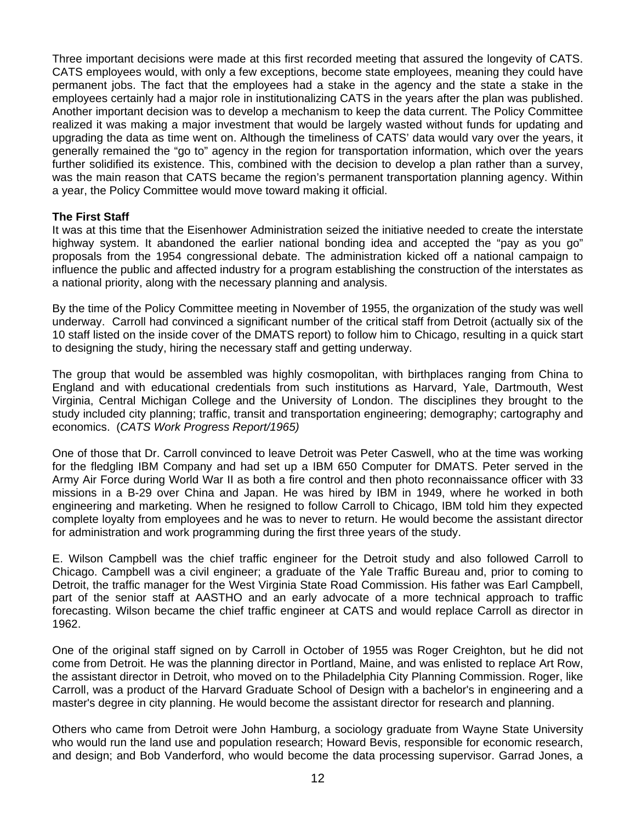Three important decisions were made at this first recorded meeting that assured the longevity of CATS. CATS employees would, with only a few exceptions, become state employees, meaning they could have permanent jobs. The fact that the employees had a stake in the agency and the state a stake in the employees certainly had a major role in institutionalizing CATS in the years after the plan was published. Another important decision was to develop a mechanism to keep the data current. The Policy Committee realized it was making a major investment that would be largely wasted without funds for updating and upgrading the data as time went on. Although the timeliness of CATS' data would vary over the years, it generally remained the "go to" agency in the region for transportation information, which over the years further solidified its existence. This, combined with the decision to develop a plan rather than a survey, was the main reason that CATS became the region's permanent transportation planning agency. Within a year, the Policy Committee would move toward making it official.

#### **The First Staff**

It was at this time that the Eisenhower Administration seized the initiative needed to create the interstate highway system. It abandoned the earlier national bonding idea and accepted the "pay as you go" proposals from the 1954 congressional debate. The administration kicked off a national campaign to influence the public and affected industry for a program establishing the construction of the interstates as a national priority, along with the necessary planning and analysis.

By the time of the Policy Committee meeting in November of 1955, the organization of the study was well underway. Carroll had convinced a significant number of the critical staff from Detroit (actually six of the 10 staff listed on the inside cover of the DMATS report) to follow him to Chicago, resulting in a quick start to designing the study, hiring the necessary staff and getting underway.

The group that would be assembled was highly cosmopolitan, with birthplaces ranging from China to England and with educational credentials from such institutions as Harvard, Yale, Dartmouth, West Virginia, Central Michigan College and the University of London. The disciplines they brought to the study included city planning; traffic, transit and transportation engineering; demography; cartography and economics. (*CATS Work Progress Report/1965)* 

One of those that Dr. Carroll convinced to leave Detroit was Peter Caswell, who at the time was working for the fledgling IBM Company and had set up a IBM 650 Computer for DMATS. Peter served in the Army Air Force during World War II as both a fire control and then photo reconnaissance officer with 33 missions in a B-29 over China and Japan. He was hired by IBM in 1949, where he worked in both engineering and marketing. When he resigned to follow Carroll to Chicago, IBM told him they expected complete loyalty from employees and he was to never to return. He would become the assistant director for administration and work programming during the first three years of the study.

E. Wilson Campbell was the chief traffic engineer for the Detroit study and also followed Carroll to Chicago. Campbell was a civil engineer; a graduate of the Yale Traffic Bureau and, prior to coming to Detroit, the traffic manager for the West Virginia State Road Commission. His father was Earl Campbell, part of the senior staff at AASTHO and an early advocate of a more technical approach to traffic forecasting. Wilson became the chief traffic engineer at CATS and would replace Carroll as director in 1962.

One of the original staff signed on by Carroll in October of 1955 was Roger Creighton, but he did not come from Detroit. He was the planning director in Portland, Maine, and was enlisted to replace Art Row, the assistant director in Detroit, who moved on to the Philadelphia City Planning Commission. Roger, like Carroll, was a product of the Harvard Graduate School of Design with a bachelor's in engineering and a master's degree in city planning. He would become the assistant director for research and planning.

Others who came from Detroit were John Hamburg, a sociology graduate from Wayne State University who would run the land use and population research; Howard Bevis, responsible for economic research, and design; and Bob Vanderford, who would become the data processing supervisor. Garrad Jones, a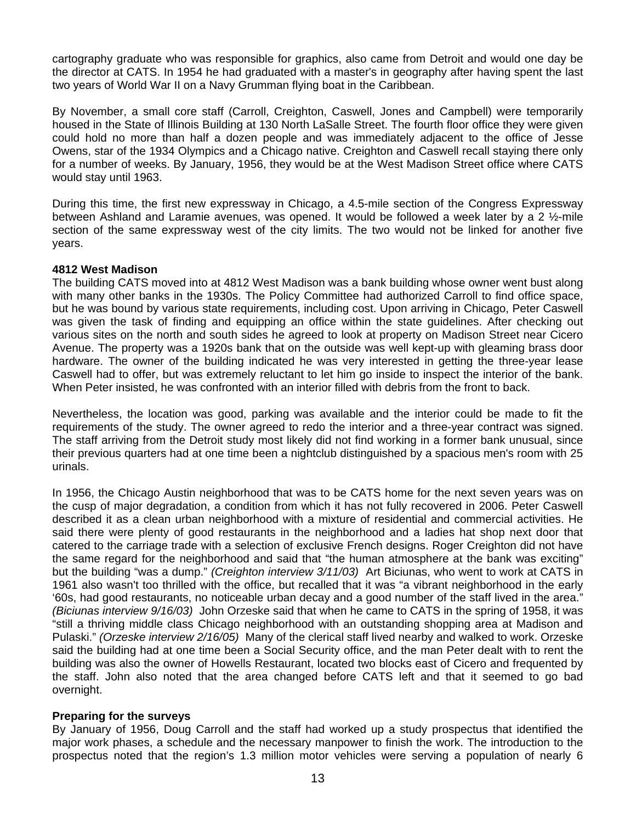cartography graduate who was responsible for graphics, also came from Detroit and would one day be the director at CATS. In 1954 he had graduated with a master's in geography after having spent the last two years of World War II on a Navy Grumman flying boat in the Caribbean.

By November, a small core staff (Carroll, Creighton, Caswell, Jones and Campbell) were temporarily housed in the State of Illinois Building at 130 North LaSalle Street. The fourth floor office they were given could hold no more than half a dozen people and was immediately adjacent to the office of Jesse Owens, star of the 1934 Olympics and a Chicago native. Creighton and Caswell recall staying there only for a number of weeks. By January, 1956, they would be at the West Madison Street office where CATS would stay until 1963.

During this time, the first new expressway in Chicago, a 4.5-mile section of the Congress Expressway between Ashland and Laramie avenues, was opened. It would be followed a week later by a 2 ½-mile section of the same expressway west of the city limits. The two would not be linked for another five years.

#### **4812 West Madison**

The building CATS moved into at 4812 West Madison was a bank building whose owner went bust along with many other banks in the 1930s. The Policy Committee had authorized Carroll to find office space, but he was bound by various state requirements, including cost. Upon arriving in Chicago, Peter Caswell was given the task of finding and equipping an office within the state guidelines. After checking out various sites on the north and south sides he agreed to look at property on Madison Street near Cicero Avenue. The property was a 1920s bank that on the outside was well kept-up with gleaming brass door hardware. The owner of the building indicated he was very interested in getting the three-year lease Caswell had to offer, but was extremely reluctant to let him go inside to inspect the interior of the bank. When Peter insisted, he was confronted with an interior filled with debris from the front to back.

Nevertheless, the location was good, parking was available and the interior could be made to fit the requirements of the study. The owner agreed to redo the interior and a three-year contract was signed. The staff arriving from the Detroit study most likely did not find working in a former bank unusual, since their previous quarters had at one time been a nightclub distinguished by a spacious men's room with 25 urinals.

In 1956, the Chicago Austin neighborhood that was to be CATS home for the next seven years was on the cusp of major degradation, a condition from which it has not fully recovered in 2006. Peter Caswell described it as a clean urban neighborhood with a mixture of residential and commercial activities. He said there were plenty of good restaurants in the neighborhood and a ladies hat shop next door that catered to the carriage trade with a selection of exclusive French designs. Roger Creighton did not have the same regard for the neighborhood and said that "the human atmosphere at the bank was exciting" but the building "was a dump." *(Creighton interview 3/11/03)* Art Biciunas, who went to work at CATS in 1961 also wasn't too thrilled with the office, but recalled that it was "a vibrant neighborhood in the early '60s, had good restaurants, no noticeable urban decay and a good number of the staff lived in the area." *(Biciunas interview 9/16/03)* John Orzeske said that when he came to CATS in the spring of 1958, it was "still a thriving middle class Chicago neighborhood with an outstanding shopping area at Madison and Pulaski." *(Orzeske interview 2/16/05)* Many of the clerical staff lived nearby and walked to work. Orzeske said the building had at one time been a Social Security office, and the man Peter dealt with to rent the building was also the owner of Howells Restaurant, located two blocks east of Cicero and frequented by the staff. John also noted that the area changed before CATS left and that it seemed to go bad overnight.

#### **Preparing for the surveys**

By January of 1956, Doug Carroll and the staff had worked up a study prospectus that identified the major work phases, a schedule and the necessary manpower to finish the work. The introduction to the prospectus noted that the region's 1.3 million motor vehicles were serving a population of nearly 6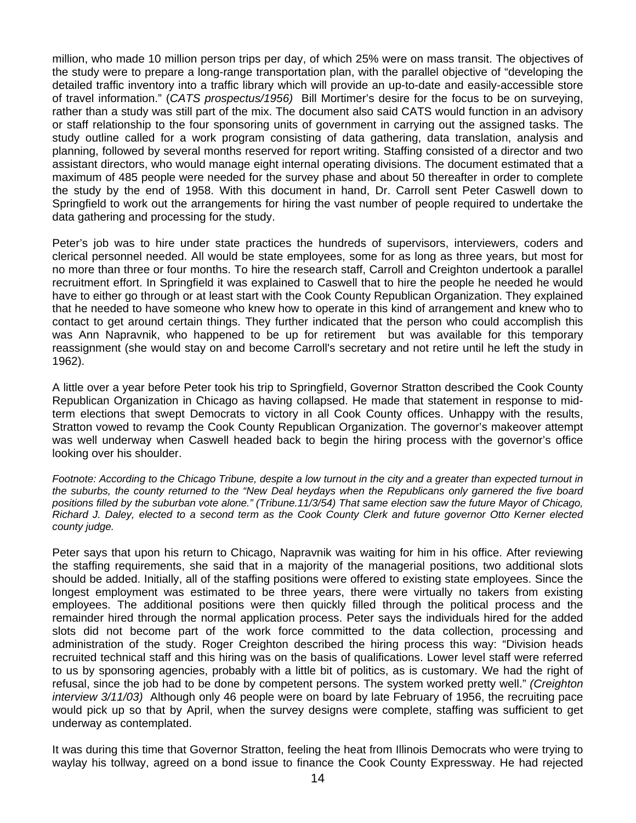million, who made 10 million person trips per day, of which 25% were on mass transit. The objectives of the study were to prepare a long-range transportation plan, with the parallel objective of "developing the detailed traffic inventory into a traffic library which will provide an up-to-date and easily-accessible store of travel information." (*CATS prospectus/1956)* Bill Mortimer's desire for the focus to be on surveying, rather than a study was still part of the mix. The document also said CATS would function in an advisory or staff relationship to the four sponsoring units of government in carrying out the assigned tasks. The study outline called for a work program consisting of data gathering, data translation, analysis and planning, followed by several months reserved for report writing. Staffing consisted of a director and two assistant directors, who would manage eight internal operating divisions. The document estimated that a maximum of 485 people were needed for the survey phase and about 50 thereafter in order to complete the study by the end of 1958. With this document in hand, Dr. Carroll sent Peter Caswell down to Springfield to work out the arrangements for hiring the vast number of people required to undertake the data gathering and processing for the study.

Peter's job was to hire under state practices the hundreds of supervisors, interviewers, coders and clerical personnel needed. All would be state employees, some for as long as three years, but most for no more than three or four months. To hire the research staff, Carroll and Creighton undertook a parallel recruitment effort. In Springfield it was explained to Caswell that to hire the people he needed he would have to either go through or at least start with the Cook County Republican Organization. They explained that he needed to have someone who knew how to operate in this kind of arrangement and knew who to contact to get around certain things. They further indicated that the person who could accomplish this was Ann Napravnik, who happened to be up for retirement but was available for this temporary reassignment (she would stay on and become Carroll's secretary and not retire until he left the study in 1962).

A little over a year before Peter took his trip to Springfield, Governor Stratton described the Cook County Republican Organization in Chicago as having collapsed. He made that statement in response to midterm elections that swept Democrats to victory in all Cook County offices. Unhappy with the results, Stratton vowed to revamp the Cook County Republican Organization. The governor's makeover attempt was well underway when Caswell headed back to begin the hiring process with the governor's office looking over his shoulder.

*Footnote: According to the Chicago Tribune, despite a low turnout in the city and a greater than expected turnout in the suburbs, the county returned to the "New Deal heydays when the Republicans only garnered the five board positions filled by the suburban vote alone." (Tribune.11/3/54) That same election saw the future Mayor of Chicago, Richard J. Daley, elected to a second term as the Cook County Clerk and future governor Otto Kerner elected county judge.* 

Peter says that upon his return to Chicago, Napravnik was waiting for him in his office. After reviewing the staffing requirements, she said that in a majority of the managerial positions, two additional slots should be added. Initially, all of the staffing positions were offered to existing state employees. Since the longest employment was estimated to be three years, there were virtually no takers from existing employees. The additional positions were then quickly filled through the political process and the remainder hired through the normal application process. Peter says the individuals hired for the added slots did not become part of the work force committed to the data collection, processing and administration of the study. Roger Creighton described the hiring process this way: "Division heads recruited technical staff and this hiring was on the basis of qualifications. Lower level staff were referred to us by sponsoring agencies, probably with a little bit of politics, as is customary. We had the right of refusal, since the job had to be done by competent persons. The system worked pretty well." *(Creighton interview 3/11/03)* Although only 46 people were on board by late February of 1956, the recruiting pace would pick up so that by April, when the survey designs were complete, staffing was sufficient to get underway as contemplated.

It was during this time that Governor Stratton, feeling the heat from Illinois Democrats who were trying to waylay his tollway, agreed on a bond issue to finance the Cook County Expressway. He had rejected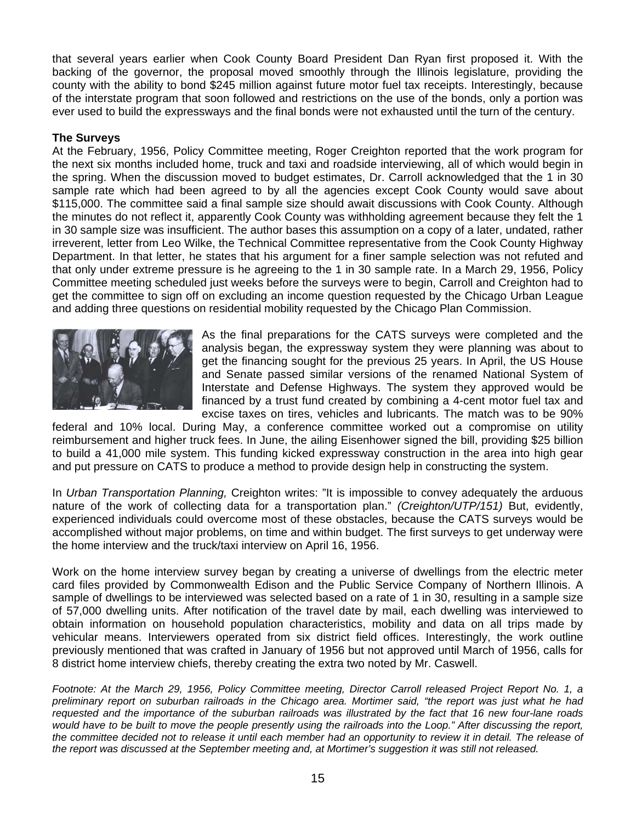that several years earlier when Cook County Board President Dan Ryan first proposed it. With the backing of the governor, the proposal moved smoothly through the Illinois legislature, providing the county with the ability to bond \$245 million against future motor fuel tax receipts. Interestingly, because of the interstate program that soon followed and restrictions on the use of the bonds, only a portion was ever used to build the expressways and the final bonds were not exhausted until the turn of the century.

#### **The Surveys**

At the February, 1956, Policy Committee meeting, Roger Creighton reported that the work program for the next six months included home, truck and taxi and roadside interviewing, all of which would begin in the spring. When the discussion moved to budget estimates, Dr. Carroll acknowledged that the 1 in 30 sample rate which had been agreed to by all the agencies except Cook County would save about \$115,000. The committee said a final sample size should await discussions with Cook County. Although the minutes do not reflect it, apparently Cook County was withholding agreement because they felt the 1 in 30 sample size was insufficient. The author bases this assumption on a copy of a later, undated, rather irreverent, letter from Leo Wilke, the Technical Committee representative from the Cook County Highway Department. In that letter, he states that his argument for a finer sample selection was not refuted and that only under extreme pressure is he agreeing to the 1 in 30 sample rate. In a March 29, 1956, Policy Committee meeting scheduled just weeks before the surveys were to begin, Carroll and Creighton had to get the committee to sign off on excluding an income question requested by the Chicago Urban League and adding three questions on residential mobility requested by the Chicago Plan Commission.



As the final preparations for the CATS surveys were completed and the analysis began, the expressway system they were planning was about to get the financing sought for the previous 25 years. In April, the US House and Senate passed similar versions of the renamed National System of Interstate and Defense Highways. The system they approved would be financed by a trust fund created by combining a 4-cent motor fuel tax and excise taxes on tires, vehicles and lubricants. The match was to be 90%

federal and 10% local. During May, a conference committee worked out a compromise on utility reimbursement and higher truck fees. In June, the ailing Eisenhower signed the bill, providing \$25 billion to build a 41,000 mile system. This funding kicked expressway construction in the area into high gear and put pressure on CATS to produce a method to provide design help in constructing the system.

In *Urban Transportation Planning,* Creighton writes: "It is impossible to convey adequately the arduous nature of the work of collecting data for a transportation plan." *(Creighton/UTP/151)* But, evidently, experienced individuals could overcome most of these obstacles, because the CATS surveys would be accomplished without major problems, on time and within budget. The first surveys to get underway were the home interview and the truck/taxi interview on April 16, 1956.

Work on the home interview survey began by creating a universe of dwellings from the electric meter card files provided by Commonwealth Edison and the Public Service Company of Northern Illinois. A sample of dwellings to be interviewed was selected based on a rate of 1 in 30, resulting in a sample size of 57,000 dwelling units. After notification of the travel date by mail, each dwelling was interviewed to obtain information on household population characteristics, mobility and data on all trips made by vehicular means. Interviewers operated from six district field offices. Interestingly, the work outline previously mentioned that was crafted in January of 1956 but not approved until March of 1956, calls for 8 district home interview chiefs, thereby creating the extra two noted by Mr. Caswell.

*Footnote: At the March 29, 1956, Policy Committee meeting, Director Carroll released Project Report No. 1, a preliminary report on suburban railroads in the Chicago area. Mortimer said, "the report was just what he had requested and the importance of the suburban railroads was illustrated by the fact that 16 new four-lane roads*  would have to be built to move the people presently using the railroads into the Loop." After discussing the report, the committee decided not to release it until each member had an opportunity to review it in detail. The release of *the report was discussed at the September meeting and, at Mortimer's suggestion it was still not released.*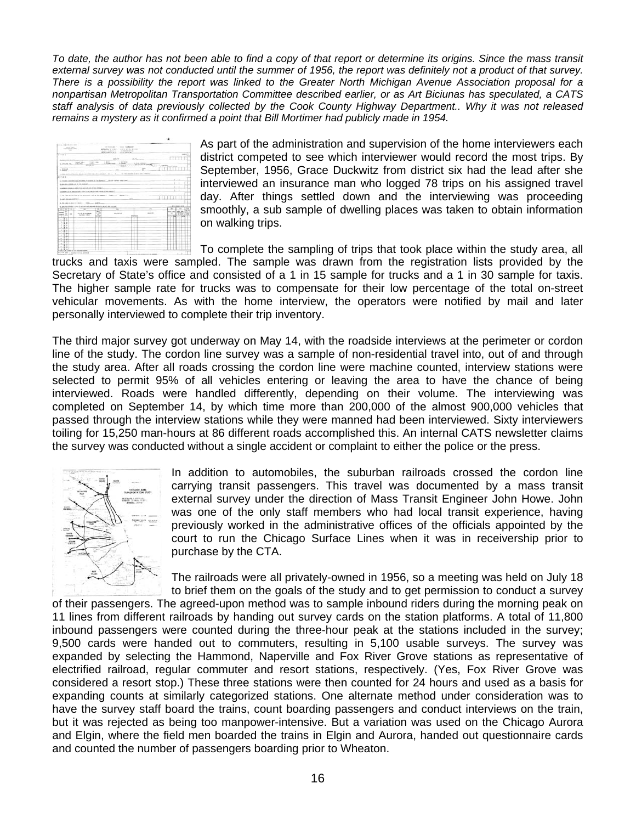*To date, the author has not been able to find a copy of that report or determine its origins. Since the mass transit*  external survey was not conducted until the summer of 1956, the report was definitely not a product of that survey. *There is a possibility the report was linked to the Greater North Michigan Avenue Association proposal for a nonpartisan Metropolitan Transportation Committee described earlier, or as Art Biciunas has speculated, a CATS staff analysis of data previously collected by the Cook County Highway Department.. Why it was not released remains a mystery as it confirmed a point that Bill Mortimer had publicly made in 1954.* 



As part of the administration and supervision of the home interviewers each district competed to see which interviewer would record the most trips. By September, 1956, Grace Duckwitz from district six had the lead after she interviewed an insurance man who logged 78 trips on his assigned travel day. After things settled down and the interviewing was proceeding smoothly, a sub sample of dwelling places was taken to obtain information on walking trips.

To complete the sampling of trips that took place within the study area, all trucks and taxis were sampled. The sample was drawn from the registration lists provided by the Secretary of State's office and consisted of a 1 in 15 sample for trucks and a 1 in 30 sample for taxis. The higher sample rate for trucks was to compensate for their low percentage of the total on-street vehicular movements. As with the home interview, the operators were notified by mail and later personally interviewed to complete their trip inventory.

The third major survey got underway on May 14, with the roadside interviews at the perimeter or cordon line of the study. The cordon line survey was a sample of non-residential travel into, out of and through the study area. After all roads crossing the cordon line were machine counted, interview stations were selected to permit 95% of all vehicles entering or leaving the area to have the chance of being interviewed. Roads were handled differently, depending on their volume. The interviewing was completed on September 14, by which time more than 200,000 of the almost 900,000 vehicles that passed through the interview stations while they were manned had been interviewed. Sixty interviewers toiling for 15,250 man-hours at 86 different roads accomplished this. An internal CATS newsletter claims the survey was conducted without a single accident or complaint to either the police or the press.



In addition to automobiles, the suburban railroads crossed the cordon line carrying transit passengers. This travel was documented by a mass transit external survey under the direction of Mass Transit Engineer John Howe. John was one of the only staff members who had local transit experience, having previously worked in the administrative offices of the officials appointed by the court to run the Chicago Surface Lines when it was in receivership prior to purchase by the CTA.

The railroads were all privately-owned in 1956, so a meeting was held on July 18 to brief them on the goals of the study and to get permission to conduct a survey

of their passengers. The agreed-upon method was to sample inbound riders during the morning peak on 11 lines from different railroads by handing out survey cards on the station platforms. A total of 11,800 inbound passengers were counted during the three-hour peak at the stations included in the survey; 9,500 cards were handed out to commuters, resulting in 5,100 usable surveys. The survey was expanded by selecting the Hammond, Naperville and Fox River Grove stations as representative of electrified railroad, regular commuter and resort stations, respectively. (Yes, Fox River Grove was considered a resort stop.) These three stations were then counted for 24 hours and used as a basis for expanding counts at similarly categorized stations. One alternate method under consideration was to have the survey staff board the trains, count boarding passengers and conduct interviews on the train, but it was rejected as being too manpower-intensive. But a variation was used on the Chicago Aurora and Elgin, where the field men boarded the trains in Elgin and Aurora, handed out questionnaire cards and counted the number of passengers boarding prior to Wheaton.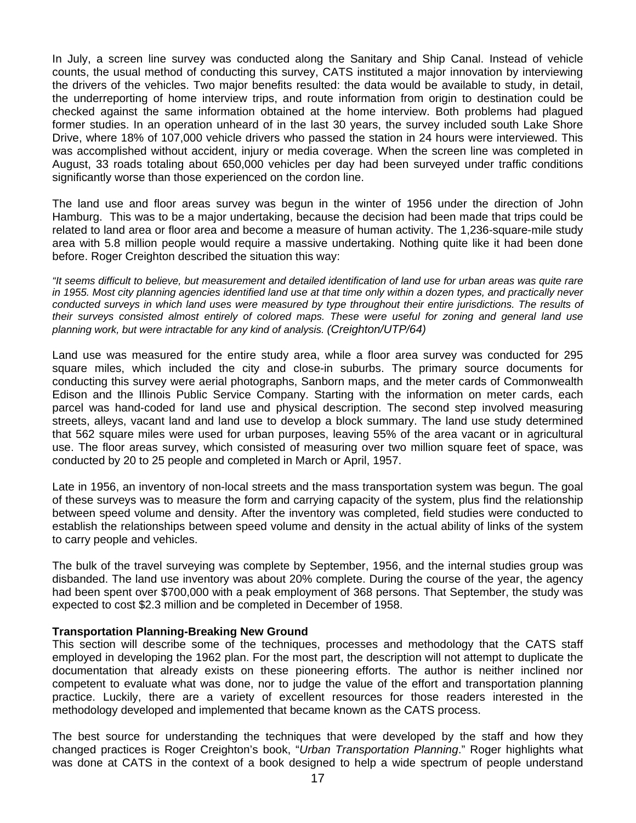In July, a screen line survey was conducted along the Sanitary and Ship Canal. Instead of vehicle counts, the usual method of conducting this survey, CATS instituted a major innovation by interviewing the drivers of the vehicles. Two major benefits resulted: the data would be available to study, in detail, the underreporting of home interview trips, and route information from origin to destination could be checked against the same information obtained at the home interview. Both problems had plagued former studies. In an operation unheard of in the last 30 years, the survey included south Lake Shore Drive, where 18% of 107,000 vehicle drivers who passed the station in 24 hours were interviewed. This was accomplished without accident, injury or media coverage. When the screen line was completed in August, 33 roads totaling about 650,000 vehicles per day had been surveyed under traffic conditions significantly worse than those experienced on the cordon line.

The land use and floor areas survey was begun in the winter of 1956 under the direction of John Hamburg. This was to be a major undertaking, because the decision had been made that trips could be related to land area or floor area and become a measure of human activity. The 1,236-square-mile study area with 5.8 million people would require a massive undertaking. Nothing quite like it had been done before. Roger Creighton described the situation this way:

*"It seems difficult to believe, but measurement and detailed identification of land use for urban areas was quite rare in 1955. Most city planning agencies identified land use at that time only within a dozen types, and practically never*  conducted surveys in which land uses were measured by type throughout their entire jurisdictions. The results of *their surveys consisted almost entirely of colored maps. These were useful for zoning and general land use planning work, but were intractable for any kind of analysis. (Creighton/UTP/64)* 

Land use was measured for the entire study area, while a floor area survey was conducted for 295 square miles, which included the city and close-in suburbs. The primary source documents for conducting this survey were aerial photographs, Sanborn maps, and the meter cards of Commonwealth Edison and the Illinois Public Service Company. Starting with the information on meter cards, each parcel was hand-coded for land use and physical description. The second step involved measuring streets, alleys, vacant land and land use to develop a block summary. The land use study determined that 562 square miles were used for urban purposes, leaving 55% of the area vacant or in agricultural use. The floor areas survey, which consisted of measuring over two million square feet of space, was conducted by 20 to 25 people and completed in March or April, 1957.

Late in 1956, an inventory of non-local streets and the mass transportation system was begun. The goal of these surveys was to measure the form and carrying capacity of the system, plus find the relationship between speed volume and density. After the inventory was completed, field studies were conducted to establish the relationships between speed volume and density in the actual ability of links of the system to carry people and vehicles.

The bulk of the travel surveying was complete by September, 1956, and the internal studies group was disbanded. The land use inventory was about 20% complete. During the course of the year, the agency had been spent over \$700,000 with a peak employment of 368 persons. That September, the study was expected to cost \$2.3 million and be completed in December of 1958.

#### **Transportation Planning-Breaking New Ground**

This section will describe some of the techniques, processes and methodology that the CATS staff employed in developing the 1962 plan. For the most part, the description will not attempt to duplicate the documentation that already exists on these pioneering efforts. The author is neither inclined nor competent to evaluate what was done, nor to judge the value of the effort and transportation planning practice. Luckily, there are a variety of excellent resources for those readers interested in the methodology developed and implemented that became known as the CATS process.

The best source for understanding the techniques that were developed by the staff and how they changed practices is Roger Creighton's book, "*Urban Transportation Planning*." Roger highlights what was done at CATS in the context of a book designed to help a wide spectrum of people understand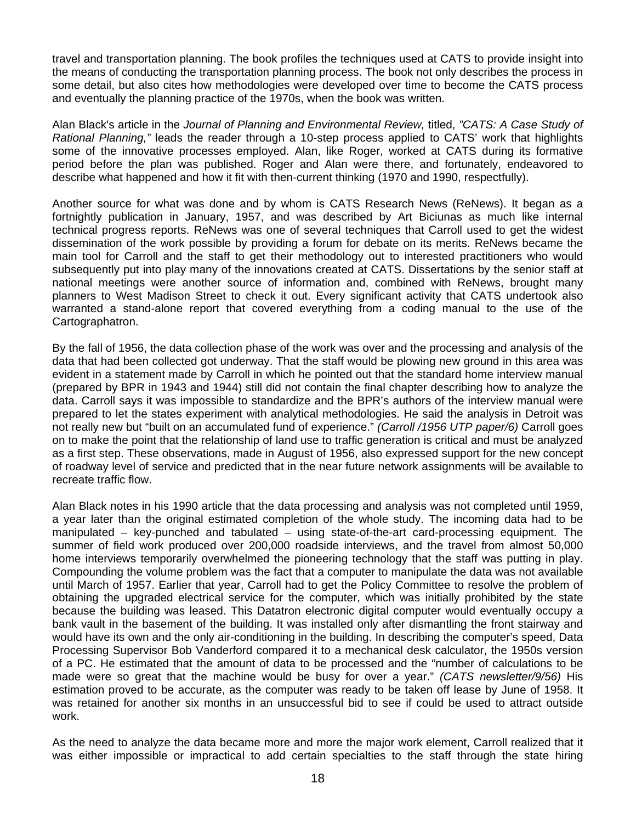travel and transportation planning. The book profiles the techniques used at CATS to provide insight into the means of conducting the transportation planning process. The book not only describes the process in some detail, but also cites how methodologies were developed over time to become the CATS process and eventually the planning practice of the 1970s, when the book was written.

Alan Black's article in the *Journal of Planning and Environmental Review,* titled, *"CATS: A Case Study of Rational Planning,"* leads the reader through a 10-step process applied to CATS' work that highlights some of the innovative processes employed. Alan, like Roger, worked at CATS during its formative period before the plan was published. Roger and Alan were there, and fortunately, endeavored to describe what happened and how it fit with then-current thinking (1970 and 1990, respectfully).

Another source for what was done and by whom is CATS Research News (ReNews). It began as a fortnightly publication in January, 1957, and was described by Art Biciunas as much like internal technical progress reports. ReNews was one of several techniques that Carroll used to get the widest dissemination of the work possible by providing a forum for debate on its merits. ReNews became the main tool for Carroll and the staff to get their methodology out to interested practitioners who would subsequently put into play many of the innovations created at CATS. Dissertations by the senior staff at national meetings were another source of information and, combined with ReNews, brought many planners to West Madison Street to check it out. Every significant activity that CATS undertook also warranted a stand-alone report that covered everything from a coding manual to the use of the Cartographatron.

By the fall of 1956, the data collection phase of the work was over and the processing and analysis of the data that had been collected got underway. That the staff would be plowing new ground in this area was evident in a statement made by Carroll in which he pointed out that the standard home interview manual (prepared by BPR in 1943 and 1944) still did not contain the final chapter describing how to analyze the data. Carroll says it was impossible to standardize and the BPR's authors of the interview manual were prepared to let the states experiment with analytical methodologies. He said the analysis in Detroit was not really new but "built on an accumulated fund of experience." *(Carroll /1956 UTP paper/6)* Carroll goes on to make the point that the relationship of land use to traffic generation is critical and must be analyzed as a first step. These observations, made in August of 1956, also expressed support for the new concept of roadway level of service and predicted that in the near future network assignments will be available to recreate traffic flow.

Alan Black notes in his 1990 article that the data processing and analysis was not completed until 1959, a year later than the original estimated completion of the whole study. The incoming data had to be manipulated – key-punched and tabulated – using state-of-the-art card-processing equipment. The summer of field work produced over 200,000 roadside interviews, and the travel from almost 50,000 home interviews temporarily overwhelmed the pioneering technology that the staff was putting in play. Compounding the volume problem was the fact that a computer to manipulate the data was not available until March of 1957. Earlier that year, Carroll had to get the Policy Committee to resolve the problem of obtaining the upgraded electrical service for the computer, which was initially prohibited by the state because the building was leased. This Datatron electronic digital computer would eventually occupy a bank vault in the basement of the building. It was installed only after dismantling the front stairway and would have its own and the only air-conditioning in the building. In describing the computer's speed, Data Processing Supervisor Bob Vanderford compared it to a mechanical desk calculator, the 1950s version of a PC. He estimated that the amount of data to be processed and the "number of calculations to be made were so great that the machine would be busy for over a year." *(CATS newsletter/9/56)* His estimation proved to be accurate, as the computer was ready to be taken off lease by June of 1958. It was retained for another six months in an unsuccessful bid to see if could be used to attract outside work.

As the need to analyze the data became more and more the major work element, Carroll realized that it was either impossible or impractical to add certain specialties to the staff through the state hiring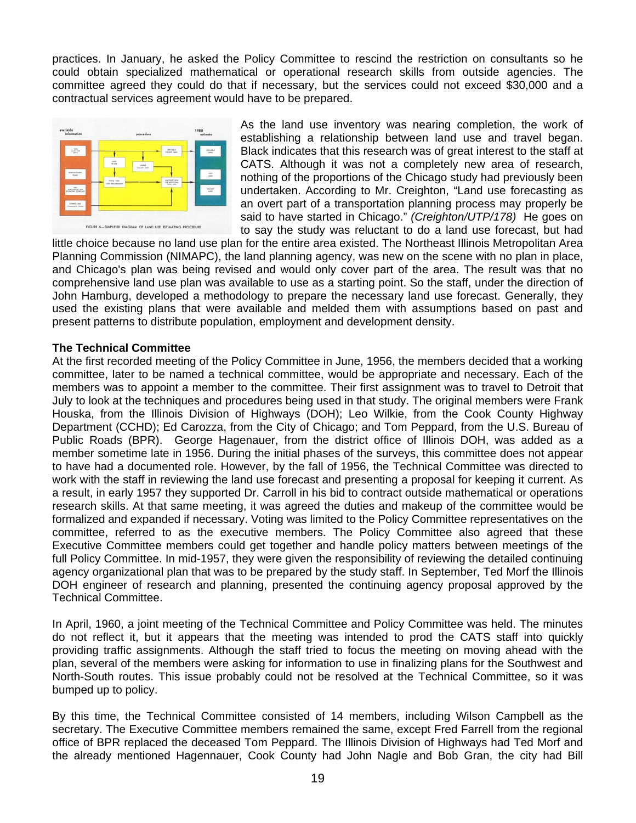practices. In January, he asked the Policy Committee to rescind the restriction on consultants so he could obtain specialized mathematical or operational research skills from outside agencies. The committee agreed they could do that if necessary, but the services could not exceed \$30,000 and a contractual services agreement would have to be prepared.



As the land use inventory was nearing completion, the work of establishing a relationship between land use and travel began. Black indicates that this research was of great interest to the staff at CATS. Although it was not a completely new area of research, nothing of the proportions of the Chicago study had previously been undertaken. According to Mr. Creighton, "Land use forecasting as an overt part of a transportation planning process may properly be said to have started in Chicago." *(Creighton/UTP/178)* He goes on to say the study was reluctant to do a land use forecast, but had

little choice because no land use plan for the entire area existed. The Northeast Illinois Metropolitan Area Planning Commission (NIMAPC), the land planning agency, was new on the scene with no plan in place, and Chicago's plan was being revised and would only cover part of the area. The result was that no comprehensive land use plan was available to use as a starting point. So the staff, under the direction of John Hamburg, developed a methodology to prepare the necessary land use forecast. Generally, they used the existing plans that were available and melded them with assumptions based on past and present patterns to distribute population, employment and development density.

#### **The Technical Committee**

At the first recorded meeting of the Policy Committee in June, 1956, the members decided that a working committee, later to be named a technical committee, would be appropriate and necessary. Each of the members was to appoint a member to the committee. Their first assignment was to travel to Detroit that July to look at the techniques and procedures being used in that study. The original members were Frank Houska, from the Illinois Division of Highways (DOH); Leo Wilkie, from the Cook County Highway Department (CCHD); Ed Carozza, from the City of Chicago; and Tom Peppard, from the U.S. Bureau of Public Roads (BPR). George Hagenauer, from the district office of Illinois DOH, was added as a member sometime late in 1956. During the initial phases of the surveys, this committee does not appear to have had a documented role. However, by the fall of 1956, the Technical Committee was directed to work with the staff in reviewing the land use forecast and presenting a proposal for keeping it current. As a result, in early 1957 they supported Dr. Carroll in his bid to contract outside mathematical or operations research skills. At that same meeting, it was agreed the duties and makeup of the committee would be formalized and expanded if necessary. Voting was limited to the Policy Committee representatives on the committee, referred to as the executive members. The Policy Committee also agreed that these Executive Committee members could get together and handle policy matters between meetings of the full Policy Committee. In mid-1957, they were given the responsibility of reviewing the detailed continuing agency organizational plan that was to be prepared by the study staff. In September, Ted Morf the Illinois DOH engineer of research and planning, presented the continuing agency proposal approved by the Technical Committee.

In April, 1960, a joint meeting of the Technical Committee and Policy Committee was held. The minutes do not reflect it, but it appears that the meeting was intended to prod the CATS staff into quickly providing traffic assignments. Although the staff tried to focus the meeting on moving ahead with the plan, several of the members were asking for information to use in finalizing plans for the Southwest and North-South routes. This issue probably could not be resolved at the Technical Committee, so it was bumped up to policy.

By this time, the Technical Committee consisted of 14 members, including Wilson Campbell as the secretary. The Executive Committee members remained the same, except Fred Farrell from the regional office of BPR replaced the deceased Tom Peppard. The Illinois Division of Highways had Ted Morf and the already mentioned Hagennauer, Cook County had John Nagle and Bob Gran, the city had Bill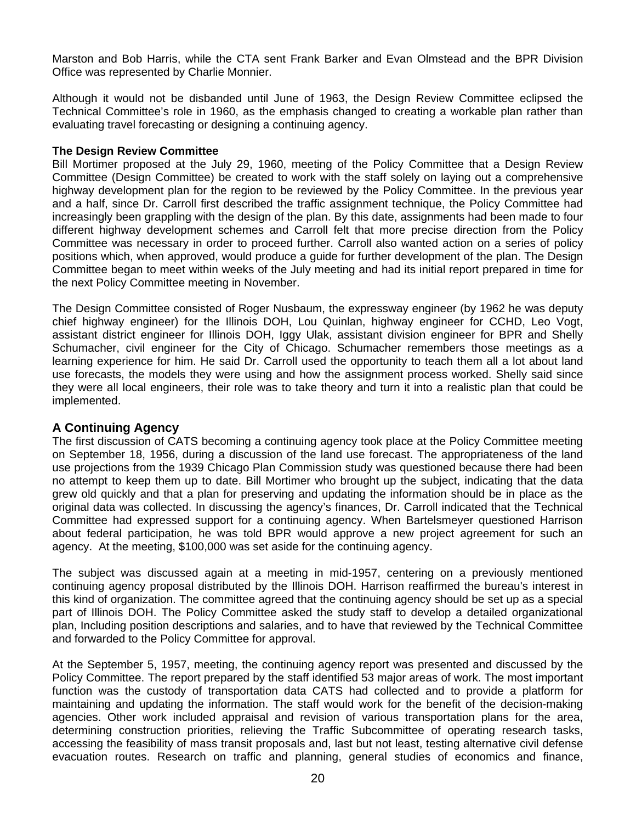Marston and Bob Harris, while the CTA sent Frank Barker and Evan Olmstead and the BPR Division Office was represented by Charlie Monnier.

Although it would not be disbanded until June of 1963, the Design Review Committee eclipsed the Technical Committee's role in 1960, as the emphasis changed to creating a workable plan rather than evaluating travel forecasting or designing a continuing agency.

#### **The Design Review Committee**

Bill Mortimer proposed at the July 29, 1960, meeting of the Policy Committee that a Design Review Committee (Design Committee) be created to work with the staff solely on laying out a comprehensive highway development plan for the region to be reviewed by the Policy Committee. In the previous year and a half, since Dr. Carroll first described the traffic assignment technique, the Policy Committee had increasingly been grappling with the design of the plan. By this date, assignments had been made to four different highway development schemes and Carroll felt that more precise direction from the Policy Committee was necessary in order to proceed further. Carroll also wanted action on a series of policy positions which, when approved, would produce a guide for further development of the plan. The Design Committee began to meet within weeks of the July meeting and had its initial report prepared in time for the next Policy Committee meeting in November.

The Design Committee consisted of Roger Nusbaum, the expressway engineer (by 1962 he was deputy chief highway engineer) for the Illinois DOH, Lou Quinlan, highway engineer for CCHD, Leo Vogt, assistant district engineer for Illinois DOH, Iggy Ulak, assistant division engineer for BPR and Shelly Schumacher, civil engineer for the City of Chicago. Schumacher remembers those meetings as a learning experience for him. He said Dr. Carroll used the opportunity to teach them all a lot about land use forecasts, the models they were using and how the assignment process worked. Shelly said since they were all local engineers, their role was to take theory and turn it into a realistic plan that could be implemented.

#### **A Continuing Agency**

The first discussion of CATS becoming a continuing agency took place at the Policy Committee meeting on September 18, 1956, during a discussion of the land use forecast. The appropriateness of the land use projections from the 1939 Chicago Plan Commission study was questioned because there had been no attempt to keep them up to date. Bill Mortimer who brought up the subject, indicating that the data grew old quickly and that a plan for preserving and updating the information should be in place as the original data was collected. In discussing the agency's finances, Dr. Carroll indicated that the Technical Committee had expressed support for a continuing agency. When Bartelsmeyer questioned Harrison about federal participation, he was told BPR would approve a new project agreement for such an agency. At the meeting, \$100,000 was set aside for the continuing agency.

The subject was discussed again at a meeting in mid-1957, centering on a previously mentioned continuing agency proposal distributed by the Illinois DOH. Harrison reaffirmed the bureau's interest in this kind of organization. The committee agreed that the continuing agency should be set up as a special part of Illinois DOH. The Policy Committee asked the study staff to develop a detailed organizational plan, Including position descriptions and salaries, and to have that reviewed by the Technical Committee and forwarded to the Policy Committee for approval.

At the September 5, 1957, meeting, the continuing agency report was presented and discussed by the Policy Committee. The report prepared by the staff identified 53 major areas of work. The most important function was the custody of transportation data CATS had collected and to provide a platform for maintaining and updating the information. The staff would work for the benefit of the decision-making agencies. Other work included appraisal and revision of various transportation plans for the area, determining construction priorities, relieving the Traffic Subcommittee of operating research tasks, accessing the feasibility of mass transit proposals and, last but not least, testing alternative civil defense evacuation routes. Research on traffic and planning, general studies of economics and finance,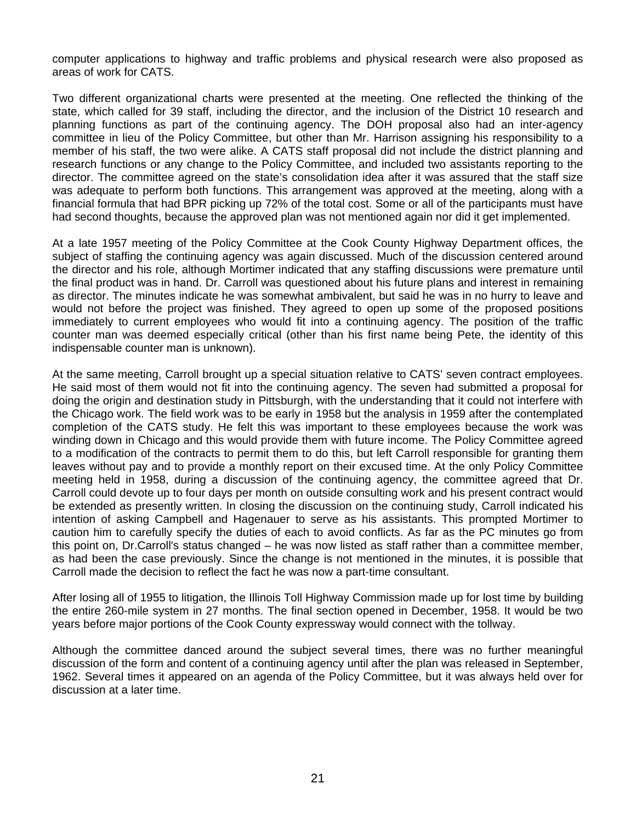computer applications to highway and traffic problems and physical research were also proposed as areas of work for CATS.

Two different organizational charts were presented at the meeting. One reflected the thinking of the state, which called for 39 staff, including the director, and the inclusion of the District 10 research and planning functions as part of the continuing agency. The DOH proposal also had an inter-agency committee in lieu of the Policy Committee, but other than Mr. Harrison assigning his responsibility to a member of his staff, the two were alike. A CATS staff proposal did not include the district planning and research functions or any change to the Policy Committee, and included two assistants reporting to the director. The committee agreed on the state's consolidation idea after it was assured that the staff size was adequate to perform both functions. This arrangement was approved at the meeting, along with a financial formula that had BPR picking up 72% of the total cost. Some or all of the participants must have had second thoughts, because the approved plan was not mentioned again nor did it get implemented.

At a late 1957 meeting of the Policy Committee at the Cook County Highway Department offices, the subject of staffing the continuing agency was again discussed. Much of the discussion centered around the director and his role, although Mortimer indicated that any staffing discussions were premature until the final product was in hand. Dr. Carroll was questioned about his future plans and interest in remaining as director. The minutes indicate he was somewhat ambivalent, but said he was in no hurry to leave and would not before the project was finished. They agreed to open up some of the proposed positions immediately to current employees who would fit into a continuing agency. The position of the traffic counter man was deemed especially critical (other than his first name being Pete, the identity of this indispensable counter man is unknown).

At the same meeting, Carroll brought up a special situation relative to CATS' seven contract employees. He said most of them would not fit into the continuing agency. The seven had submitted a proposal for doing the origin and destination study in Pittsburgh, with the understanding that it could not interfere with the Chicago work. The field work was to be early in 1958 but the analysis in 1959 after the contemplated completion of the CATS study. He felt this was important to these employees because the work was winding down in Chicago and this would provide them with future income. The Policy Committee agreed to a modification of the contracts to permit them to do this, but left Carroll responsible for granting them leaves without pay and to provide a monthly report on their excused time. At the only Policy Committee meeting held in 1958, during a discussion of the continuing agency, the committee agreed that Dr. Carroll could devote up to four days per month on outside consulting work and his present contract would be extended as presently written. In closing the discussion on the continuing study, Carroll indicated his intention of asking Campbell and Hagenauer to serve as his assistants. This prompted Mortimer to caution him to carefully specify the duties of each to avoid conflicts. As far as the PC minutes go from this point on, Dr.Carroll's status changed – he was now listed as staff rather than a committee member, as had been the case previously. Since the change is not mentioned in the minutes, it is possible that Carroll made the decision to reflect the fact he was now a part-time consultant.

After losing all of 1955 to litigation, the Illinois Toll Highway Commission made up for lost time by building the entire 260-mile system in 27 months. The final section opened in December, 1958. It would be two years before major portions of the Cook County expressway would connect with the tollway.

Although the committee danced around the subject several times, there was no further meaningful discussion of the form and content of a continuing agency until after the plan was released in September, 1962. Several times it appeared on an agenda of the Policy Committee, but it was always held over for discussion at a later time.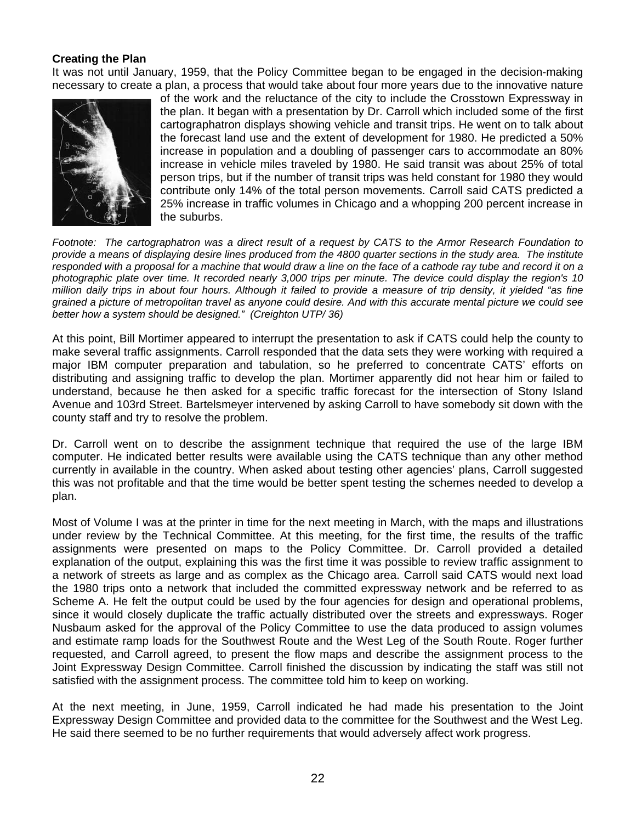#### **Creating the Plan**

It was not until January, 1959, that the Policy Committee began to be engaged in the decision-making necessary to create a plan, a process that would take about four more years due to the innovative nature



of the work and the reluctance of the city to include the Crosstown Expressway in the plan. It began with a presentation by Dr. Carroll which included some of the first cartographatron displays showing vehicle and transit trips. He went on to talk about the forecast land use and the extent of development for 1980. He predicted a 50% increase in population and a doubling of passenger cars to accommodate an 80% increase in vehicle miles traveled by 1980. He said transit was about 25% of total person trips, but if the number of transit trips was held constant for 1980 they would contribute only 14% of the total person movements. Carroll said CATS predicted a 25% increase in traffic volumes in Chicago and a whopping 200 percent increase in the suburbs.

*Footnote: The cartographatron was a direct result of a request by CATS to the Armor Research Foundation to provide a means of displaying desire lines produced from the 4800 quarter sections in the study area. The institute responded with a proposal for a machine that would draw a line on the face of a cathode ray tube and record it on a photographic plate over time. It recorded nearly 3,000 trips per minute. The device could display the region's 10 million daily trips in about four hours. Although it failed to provide a measure of trip density, it yielded "as fine grained a picture of metropolitan travel as anyone could desire. And with this accurate mental picture we could see better how a system should be designed." (Creighton UTP/ 36)* 

At this point, Bill Mortimer appeared to interrupt the presentation to ask if CATS could help the county to make several traffic assignments. Carroll responded that the data sets they were working with required a major IBM computer preparation and tabulation, so he preferred to concentrate CATS' efforts on distributing and assigning traffic to develop the plan. Mortimer apparently did not hear him or failed to understand, because he then asked for a specific traffic forecast for the intersection of Stony Island Avenue and 103rd Street. Bartelsmeyer intervened by asking Carroll to have somebody sit down with the county staff and try to resolve the problem.

Dr. Carroll went on to describe the assignment technique that required the use of the large IBM computer. He indicated better results were available using the CATS technique than any other method currently in available in the country. When asked about testing other agencies' plans, Carroll suggested this was not profitable and that the time would be better spent testing the schemes needed to develop a plan.

Most of Volume I was at the printer in time for the next meeting in March, with the maps and illustrations under review by the Technical Committee. At this meeting, for the first time, the results of the traffic assignments were presented on maps to the Policy Committee. Dr. Carroll provided a detailed explanation of the output, explaining this was the first time it was possible to review traffic assignment to a network of streets as large and as complex as the Chicago area. Carroll said CATS would next load the 1980 trips onto a network that included the committed expressway network and be referred to as Scheme A. He felt the output could be used by the four agencies for design and operational problems, since it would closely duplicate the traffic actually distributed over the streets and expressways. Roger Nusbaum asked for the approval of the Policy Committee to use the data produced to assign volumes and estimate ramp loads for the Southwest Route and the West Leg of the South Route. Roger further requested, and Carroll agreed, to present the flow maps and describe the assignment process to the Joint Expressway Design Committee. Carroll finished the discussion by indicating the staff was still not satisfied with the assignment process. The committee told him to keep on working.

At the next meeting, in June, 1959, Carroll indicated he had made his presentation to the Joint Expressway Design Committee and provided data to the committee for the Southwest and the West Leg. He said there seemed to be no further requirements that would adversely affect work progress.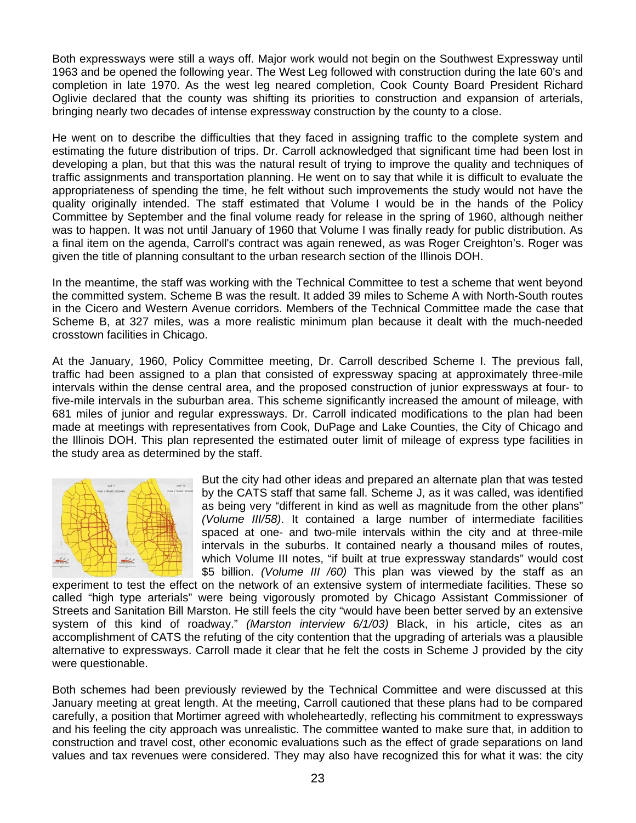Both expressways were still a ways off. Major work would not begin on the Southwest Expressway until 1963 and be opened the following year. The West Leg followed with construction during the late 60's and completion in late 1970. As the west leg neared completion, Cook County Board President Richard Oglivie declared that the county was shifting its priorities to construction and expansion of arterials, bringing nearly two decades of intense expressway construction by the county to a close.

He went on to describe the difficulties that they faced in assigning traffic to the complete system and estimating the future distribution of trips. Dr. Carroll acknowledged that significant time had been lost in developing a plan, but that this was the natural result of trying to improve the quality and techniques of traffic assignments and transportation planning. He went on to say that while it is difficult to evaluate the appropriateness of spending the time, he felt without such improvements the study would not have the quality originally intended. The staff estimated that Volume I would be in the hands of the Policy Committee by September and the final volume ready for release in the spring of 1960, although neither was to happen. It was not until January of 1960 that Volume I was finally ready for public distribution. As a final item on the agenda, Carroll's contract was again renewed, as was Roger Creighton's. Roger was given the title of planning consultant to the urban research section of the Illinois DOH.

In the meantime, the staff was working with the Technical Committee to test a scheme that went beyond the committed system. Scheme B was the result. It added 39 miles to Scheme A with North-South routes in the Cicero and Western Avenue corridors. Members of the Technical Committee made the case that Scheme B, at 327 miles, was a more realistic minimum plan because it dealt with the much-needed crosstown facilities in Chicago.

At the January, 1960, Policy Committee meeting, Dr. Carroll described Scheme I. The previous fall, traffic had been assigned to a plan that consisted of expressway spacing at approximately three-mile intervals within the dense central area, and the proposed construction of junior expressways at four- to five-mile intervals in the suburban area. This scheme significantly increased the amount of mileage, with 681 miles of junior and regular expressways. Dr. Carroll indicated modifications to the plan had been made at meetings with representatives from Cook, DuPage and Lake Counties, the City of Chicago and the Illinois DOH. This plan represented the estimated outer limit of mileage of express type facilities in the study area as determined by the staff.



But the city had other ideas and prepared an alternate plan that was tested by the CATS staff that same fall. Scheme J, as it was called, was identified as being very "different in kind as well as magnitude from the other plans" *(Volume III/58)*. It contained a large number of intermediate facilities spaced at one- and two-mile intervals within the city and at three-mile intervals in the suburbs. It contained nearly a thousand miles of routes, which Volume III notes, "if built at true expressway standards" would cost \$5 billion. *(Volume III /60)* This plan was viewed by the staff as an

experiment to test the effect on the network of an extensive system of intermediate facilities. These so called "high type arterials" were being vigorously promoted by Chicago Assistant Commissioner of Streets and Sanitation Bill Marston. He still feels the city "would have been better served by an extensive system of this kind of roadway." *(Marston interview 6/1/03)* Black, in his article, cites as an accomplishment of CATS the refuting of the city contention that the upgrading of arterials was a plausible alternative to expressways. Carroll made it clear that he felt the costs in Scheme J provided by the city were questionable.

Both schemes had been previously reviewed by the Technical Committee and were discussed at this January meeting at great length. At the meeting, Carroll cautioned that these plans had to be compared carefully, a position that Mortimer agreed with wholeheartedly, reflecting his commitment to expressways and his feeling the city approach was unrealistic. The committee wanted to make sure that, in addition to construction and travel cost, other economic evaluations such as the effect of grade separations on land values and tax revenues were considered. They may also have recognized this for what it was: the city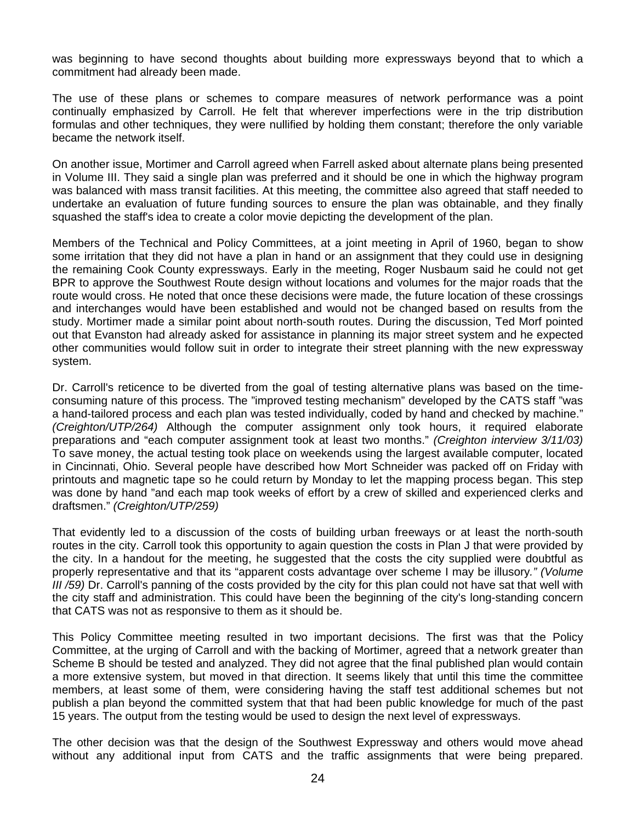was beginning to have second thoughts about building more expressways beyond that to which a commitment had already been made.

The use of these plans or schemes to compare measures of network performance was a point continually emphasized by Carroll. He felt that wherever imperfections were in the trip distribution formulas and other techniques, they were nullified by holding them constant; therefore the only variable became the network itself.

On another issue, Mortimer and Carroll agreed when Farrell asked about alternate plans being presented in Volume III. They said a single plan was preferred and it should be one in which the highway program was balanced with mass transit facilities. At this meeting, the committee also agreed that staff needed to undertake an evaluation of future funding sources to ensure the plan was obtainable, and they finally squashed the staff's idea to create a color movie depicting the development of the plan.

Members of the Technical and Policy Committees, at a joint meeting in April of 1960, began to show some irritation that they did not have a plan in hand or an assignment that they could use in designing the remaining Cook County expressways. Early in the meeting, Roger Nusbaum said he could not get BPR to approve the Southwest Route design without locations and volumes for the major roads that the route would cross. He noted that once these decisions were made, the future location of these crossings and interchanges would have been established and would not be changed based on results from the study. Mortimer made a similar point about north-south routes. During the discussion, Ted Morf pointed out that Evanston had already asked for assistance in planning its major street system and he expected other communities would follow suit in order to integrate their street planning with the new expressway system.

Dr. Carroll's reticence to be diverted from the goal of testing alternative plans was based on the timeconsuming nature of this process. The "improved testing mechanism" developed by the CATS staff "was a hand-tailored process and each plan was tested individually, coded by hand and checked by machine." *(Creighton/UTP/264)* Although the computer assignment only took hours, it required elaborate preparations and "each computer assignment took at least two months." *(Creighton interview 3/11/03)* To save money, the actual testing took place on weekends using the largest available computer, located in Cincinnati, Ohio. Several people have described how Mort Schneider was packed off on Friday with printouts and magnetic tape so he could return by Monday to let the mapping process began. This step was done by hand "and each map took weeks of effort by a crew of skilled and experienced clerks and draftsmen." *(Creighton/UTP/259)*

That evidently led to a discussion of the costs of building urban freeways or at least the north-south routes in the city. Carroll took this opportunity to again question the costs in Plan J that were provided by the city. In a handout for the meeting, he suggested that the costs the city supplied were doubtful as properly representative and that its "apparent costs advantage over scheme I may be illusory*." (Volume III /59)* Dr. Carroll's panning of the costs provided by the city for this plan could not have sat that well with the city staff and administration. This could have been the beginning of the city's long-standing concern that CATS was not as responsive to them as it should be.

This Policy Committee meeting resulted in two important decisions. The first was that the Policy Committee, at the urging of Carroll and with the backing of Mortimer, agreed that a network greater than Scheme B should be tested and analyzed. They did not agree that the final published plan would contain a more extensive system, but moved in that direction. It seems likely that until this time the committee members, at least some of them, were considering having the staff test additional schemes but not publish a plan beyond the committed system that that had been public knowledge for much of the past 15 years. The output from the testing would be used to design the next level of expressways.

The other decision was that the design of the Southwest Expressway and others would move ahead without any additional input from CATS and the traffic assignments that were being prepared.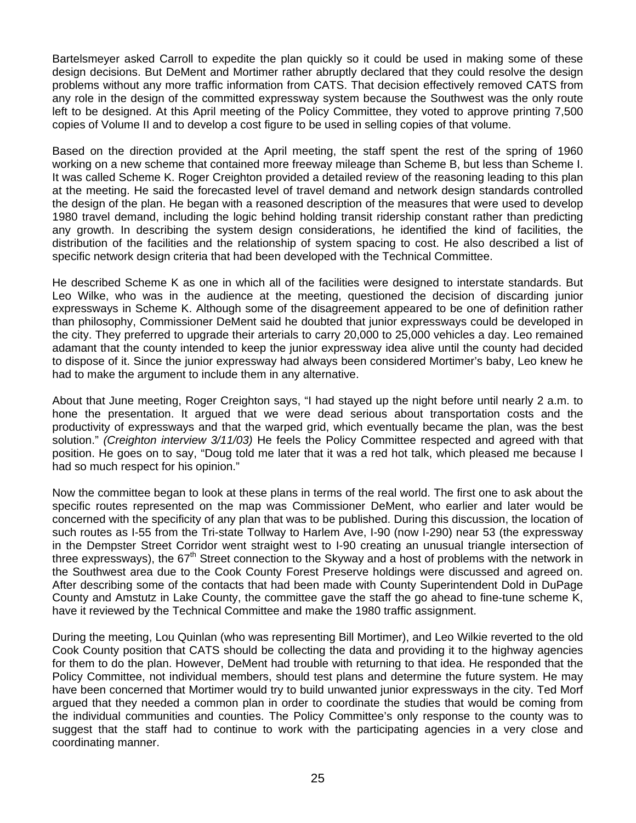Bartelsmeyer asked Carroll to expedite the plan quickly so it could be used in making some of these design decisions. But DeMent and Mortimer rather abruptly declared that they could resolve the design problems without any more traffic information from CATS. That decision effectively removed CATS from any role in the design of the committed expressway system because the Southwest was the only route left to be designed. At this April meeting of the Policy Committee, they voted to approve printing 7,500 copies of Volume II and to develop a cost figure to be used in selling copies of that volume.

Based on the direction provided at the April meeting, the staff spent the rest of the spring of 1960 working on a new scheme that contained more freeway mileage than Scheme B, but less than Scheme I. It was called Scheme K. Roger Creighton provided a detailed review of the reasoning leading to this plan at the meeting. He said the forecasted level of travel demand and network design standards controlled the design of the plan. He began with a reasoned description of the measures that were used to develop 1980 travel demand, including the logic behind holding transit ridership constant rather than predicting any growth. In describing the system design considerations, he identified the kind of facilities, the distribution of the facilities and the relationship of system spacing to cost. He also described a list of specific network design criteria that had been developed with the Technical Committee.

He described Scheme K as one in which all of the facilities were designed to interstate standards. But Leo Wilke, who was in the audience at the meeting, questioned the decision of discarding junior expressways in Scheme K. Although some of the disagreement appeared to be one of definition rather than philosophy, Commissioner DeMent said he doubted that junior expressways could be developed in the city. They preferred to upgrade their arterials to carry 20,000 to 25,000 vehicles a day. Leo remained adamant that the county intended to keep the junior expressway idea alive until the county had decided to dispose of it. Since the junior expressway had always been considered Mortimer's baby, Leo knew he had to make the argument to include them in any alternative.

About that June meeting, Roger Creighton says, "I had stayed up the night before until nearly 2 a.m. to hone the presentation. It argued that we were dead serious about transportation costs and the productivity of expressways and that the warped grid, which eventually became the plan, was the best solution." *(Creighton interview 3/11/03)* He feels the Policy Committee respected and agreed with that position. He goes on to say, "Doug told me later that it was a red hot talk, which pleased me because I had so much respect for his opinion."

Now the committee began to look at these plans in terms of the real world. The first one to ask about the specific routes represented on the map was Commissioner DeMent, who earlier and later would be concerned with the specificity of any plan that was to be published. During this discussion, the location of such routes as I-55 from the Tri-state Tollway to Harlem Ave, I-90 (now I-290) near 53 (the expressway in the Dempster Street Corridor went straight west to I-90 creating an unusual triangle intersection of three expressways), the 67<sup>th</sup> Street connection to the Skyway and a host of problems with the network in the Southwest area due to the Cook County Forest Preserve holdings were discussed and agreed on. After describing some of the contacts that had been made with County Superintendent Dold in DuPage County and Amstutz in Lake County, the committee gave the staff the go ahead to fine-tune scheme K, have it reviewed by the Technical Committee and make the 1980 traffic assignment.

During the meeting, Lou Quinlan (who was representing Bill Mortimer), and Leo Wilkie reverted to the old Cook County position that CATS should be collecting the data and providing it to the highway agencies for them to do the plan. However, DeMent had trouble with returning to that idea. He responded that the Policy Committee, not individual members, should test plans and determine the future system. He may have been concerned that Mortimer would try to build unwanted junior expressways in the city. Ted Morf argued that they needed a common plan in order to coordinate the studies that would be coming from the individual communities and counties. The Policy Committee's only response to the county was to suggest that the staff had to continue to work with the participating agencies in a very close and coordinating manner.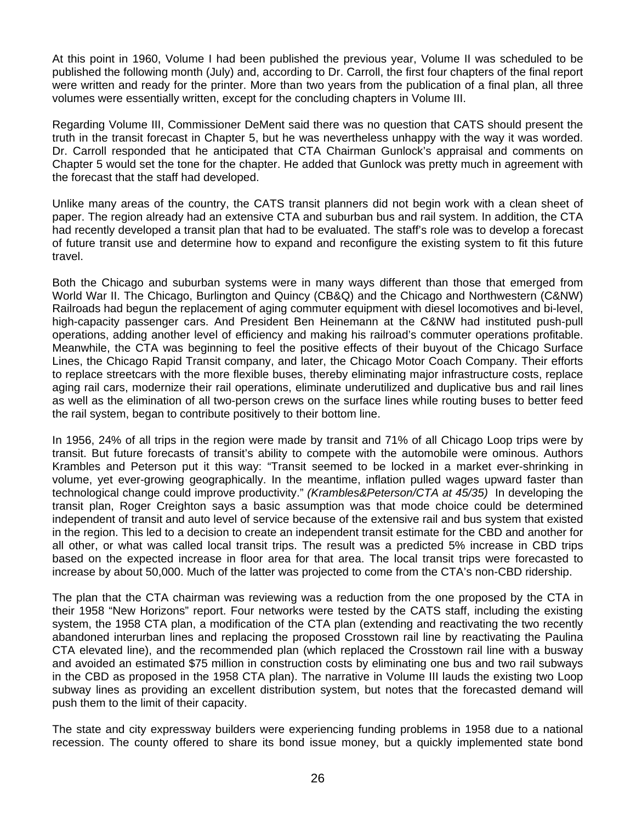At this point in 1960, Volume I had been published the previous year, Volume II was scheduled to be published the following month (July) and, according to Dr. Carroll, the first four chapters of the final report were written and ready for the printer. More than two years from the publication of a final plan, all three volumes were essentially written, except for the concluding chapters in Volume III.

Regarding Volume III, Commissioner DeMent said there was no question that CATS should present the truth in the transit forecast in Chapter 5, but he was nevertheless unhappy with the way it was worded. Dr. Carroll responded that he anticipated that CTA Chairman Gunlock's appraisal and comments on Chapter 5 would set the tone for the chapter. He added that Gunlock was pretty much in agreement with the forecast that the staff had developed.

Unlike many areas of the country, the CATS transit planners did not begin work with a clean sheet of paper. The region already had an extensive CTA and suburban bus and rail system. In addition, the CTA had recently developed a transit plan that had to be evaluated. The staff's role was to develop a forecast of future transit use and determine how to expand and reconfigure the existing system to fit this future travel.

Both the Chicago and suburban systems were in many ways different than those that emerged from World War II. The Chicago, Burlington and Quincy (CB&Q) and the Chicago and Northwestern (C&NW) Railroads had begun the replacement of aging commuter equipment with diesel locomotives and bi-level, high-capacity passenger cars. And President Ben Heinemann at the C&NW had instituted push-pull operations, adding another level of efficiency and making his railroad's commuter operations profitable. Meanwhile, the CTA was beginning to feel the positive effects of their buyout of the Chicago Surface Lines, the Chicago Rapid Transit company, and later, the Chicago Motor Coach Company. Their efforts to replace streetcars with the more flexible buses, thereby eliminating major infrastructure costs, replace aging rail cars, modernize their rail operations, eliminate underutilized and duplicative bus and rail lines as well as the elimination of all two-person crews on the surface lines while routing buses to better feed the rail system, began to contribute positively to their bottom line.

In 1956, 24% of all trips in the region were made by transit and 71% of all Chicago Loop trips were by transit. But future forecasts of transit's ability to compete with the automobile were ominous. Authors Krambles and Peterson put it this way: "Transit seemed to be locked in a market ever-shrinking in volume, yet ever-growing geographically. In the meantime, inflation pulled wages upward faster than technological change could improve productivity." *(Krambles&Peterson/CTA at 45/35)* In developing the transit plan, Roger Creighton says a basic assumption was that mode choice could be determined independent of transit and auto level of service because of the extensive rail and bus system that existed in the region. This led to a decision to create an independent transit estimate for the CBD and another for all other, or what was called local transit trips. The result was a predicted 5% increase in CBD trips based on the expected increase in floor area for that area. The local transit trips were forecasted to increase by about 50,000. Much of the latter was projected to come from the CTA's non-CBD ridership.

The plan that the CTA chairman was reviewing was a reduction from the one proposed by the CTA in their 1958 "New Horizons" report. Four networks were tested by the CATS staff, including the existing system, the 1958 CTA plan, a modification of the CTA plan (extending and reactivating the two recently abandoned interurban lines and replacing the proposed Crosstown rail line by reactivating the Paulina CTA elevated line), and the recommended plan (which replaced the Crosstown rail line with a busway and avoided an estimated \$75 million in construction costs by eliminating one bus and two rail subways in the CBD as proposed in the 1958 CTA plan). The narrative in Volume III lauds the existing two Loop subway lines as providing an excellent distribution system, but notes that the forecasted demand will push them to the limit of their capacity.

The state and city expressway builders were experiencing funding problems in 1958 due to a national recession. The county offered to share its bond issue money, but a quickly implemented state bond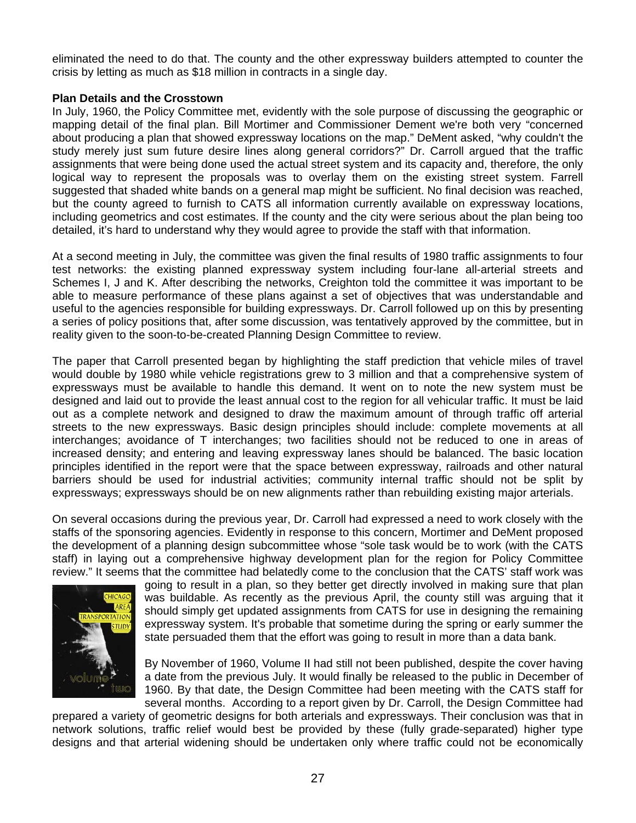eliminated the need to do that. The county and the other expressway builders attempted to counter the crisis by letting as much as \$18 million in contracts in a single day.

#### **Plan Details and the Crosstown**

In July, 1960, the Policy Committee met, evidently with the sole purpose of discussing the geographic or mapping detail of the final plan. Bill Mortimer and Commissioner Dement we're both very "concerned about producing a plan that showed expressway locations on the map." DeMent asked, "why couldn't the study merely just sum future desire lines along general corridors?" Dr. Carroll argued that the traffic assignments that were being done used the actual street system and its capacity and, therefore, the only logical way to represent the proposals was to overlay them on the existing street system. Farrell suggested that shaded white bands on a general map might be sufficient. No final decision was reached, but the county agreed to furnish to CATS all information currently available on expressway locations, including geometrics and cost estimates. If the county and the city were serious about the plan being too detailed, it's hard to understand why they would agree to provide the staff with that information.

At a second meeting in July, the committee was given the final results of 1980 traffic assignments to four test networks: the existing planned expressway system including four-lane all-arterial streets and Schemes I, J and K. After describing the networks, Creighton told the committee it was important to be able to measure performance of these plans against a set of objectives that was understandable and useful to the agencies responsible for building expressways. Dr. Carroll followed up on this by presenting a series of policy positions that, after some discussion, was tentatively approved by the committee, but in reality given to the soon-to-be-created Planning Design Committee to review.

The paper that Carroll presented began by highlighting the staff prediction that vehicle miles of travel would double by 1980 while vehicle registrations grew to 3 million and that a comprehensive system of expressways must be available to handle this demand. It went on to note the new system must be designed and laid out to provide the least annual cost to the region for all vehicular traffic. It must be laid out as a complete network and designed to draw the maximum amount of through traffic off arterial streets to the new expressways. Basic design principles should include: complete movements at all interchanges; avoidance of T interchanges; two facilities should not be reduced to one in areas of increased density; and entering and leaving expressway lanes should be balanced. The basic location principles identified in the report were that the space between expressway, railroads and other natural barriers should be used for industrial activities; community internal traffic should not be split by expressways; expressways should be on new alignments rather than rebuilding existing major arterials.

On several occasions during the previous year, Dr. Carroll had expressed a need to work closely with the staffs of the sponsoring agencies. Evidently in response to this concern, Mortimer and DeMent proposed the development of a planning design subcommittee whose "sole task would be to work (with the CATS staff) in laying out a comprehensive highway development plan for the region for Policy Committee review." It seems that the committee had belatedly come to the conclusion that the CATS' staff work was



going to result in a plan, so they better get directly involved in making sure that plan was buildable. As recently as the previous April, the county still was arguing that it should simply get updated assignments from CATS for use in designing the remaining expressway system. It's probable that sometime during the spring or early summer the state persuaded them that the effort was going to result in more than a data bank.

By November of 1960, Volume II had still not been published, despite the cover having a date from the previous July. It would finally be released to the public in December of 1960. By that date, the Design Committee had been meeting with the CATS staff for several months. According to a report given by Dr. Carroll, the Design Committee had

prepared a variety of geometric designs for both arterials and expressways. Their conclusion was that in network solutions, traffic relief would best be provided by these (fully grade-separated) higher type designs and that arterial widening should be undertaken only where traffic could not be economically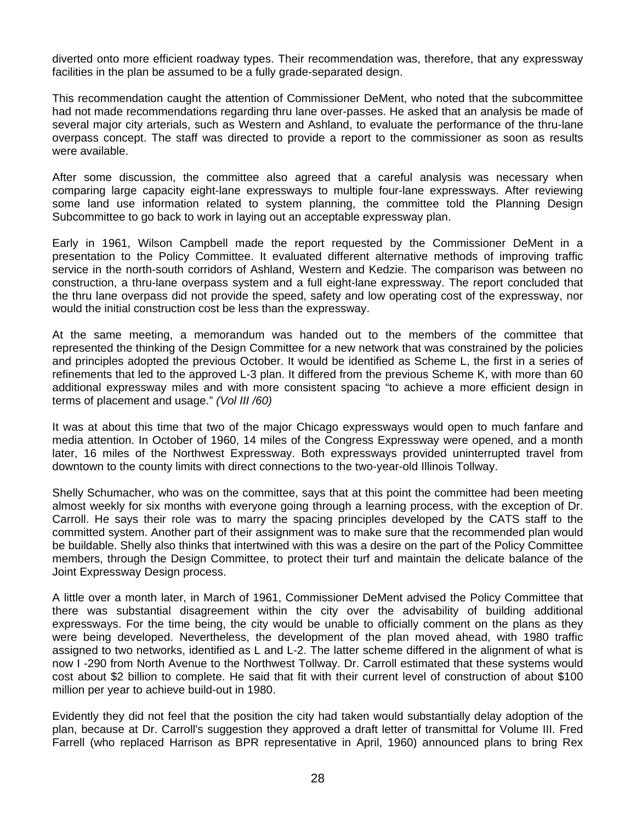diverted onto more efficient roadway types. Their recommendation was, therefore, that any expressway facilities in the plan be assumed to be a fully grade-separated design.

This recommendation caught the attention of Commissioner DeMent, who noted that the subcommittee had not made recommendations regarding thru lane over-passes. He asked that an analysis be made of several major city arterials, such as Western and Ashland, to evaluate the performance of the thru-lane overpass concept. The staff was directed to provide a report to the commissioner as soon as results were available.

After some discussion, the committee also agreed that a careful analysis was necessary when comparing large capacity eight-lane expressways to multiple four-lane expressways. After reviewing some land use information related to system planning, the committee told the Planning Design Subcommittee to go back to work in laying out an acceptable expressway plan.

Early in 1961, Wilson Campbell made the report requested by the Commissioner DeMent in a presentation to the Policy Committee. It evaluated different alternative methods of improving traffic service in the north-south corridors of Ashland, Western and Kedzie. The comparison was between no construction, a thru-lane overpass system and a full eight-lane expressway. The report concluded that the thru lane overpass did not provide the speed, safety and low operating cost of the expressway, nor would the initial construction cost be less than the expressway.

At the same meeting, a memorandum was handed out to the members of the committee that represented the thinking of the Design Committee for a new network that was constrained by the policies and principles adopted the previous October. It would be identified as Scheme L, the first in a series of refinements that led to the approved L-3 plan. It differed from the previous Scheme K, with more than 60 additional expressway miles and with more consistent spacing "to achieve a more efficient design in terms of placement and usage." *(Vol III /60)*

It was at about this time that two of the major Chicago expressways would open to much fanfare and media attention. In October of 1960, 14 miles of the Congress Expressway were opened, and a month later, 16 miles of the Northwest Expressway. Both expressways provided uninterrupted travel from downtown to the county limits with direct connections to the two-year-old Illinois Tollway.

Shelly Schumacher, who was on the committee, says that at this point the committee had been meeting almost weekly for six months with everyone going through a learning process, with the exception of Dr. Carroll. He says their role was to marry the spacing principles developed by the CATS staff to the committed system. Another part of their assignment was to make sure that the recommended plan would be buildable. Shelly also thinks that intertwined with this was a desire on the part of the Policy Committee members, through the Design Committee, to protect their turf and maintain the delicate balance of the Joint Expressway Design process.

A little over a month later, in March of 1961, Commissioner DeMent advised the Policy Committee that there was substantial disagreement within the city over the advisability of building additional expressways. For the time being, the city would be unable to officially comment on the plans as they were being developed. Nevertheless, the development of the plan moved ahead, with 1980 traffic assigned to two networks, identified as L and L-2. The latter scheme differed in the alignment of what is now I -290 from North Avenue to the Northwest Tollway. Dr. Carroll estimated that these systems would cost about \$2 billion to complete. He said that fit with their current level of construction of about \$100 million per year to achieve build-out in 1980.

Evidently they did not feel that the position the city had taken would substantially delay adoption of the plan, because at Dr. Carroll's suggestion they approved a draft letter of transmittal for Volume III. Fred Farrell (who replaced Harrison as BPR representative in April, 1960) announced plans to bring Rex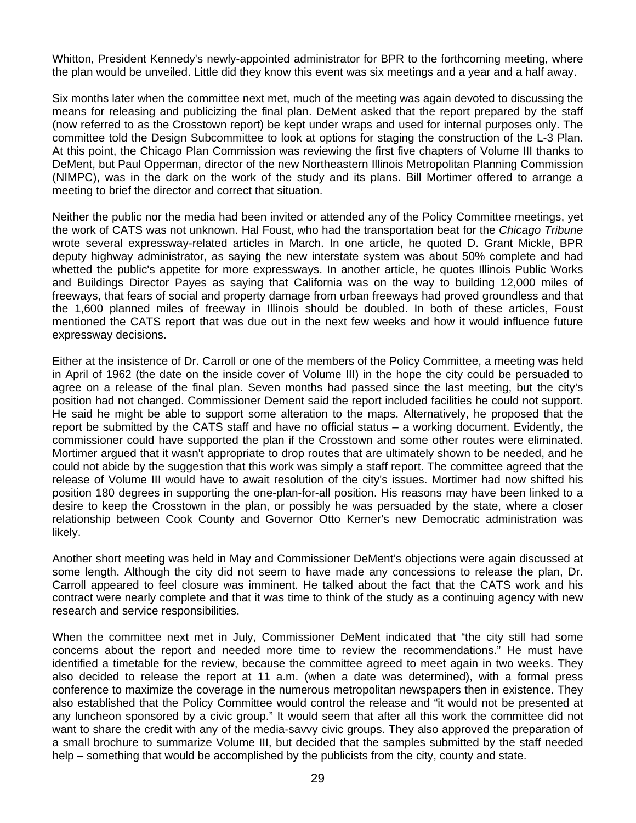Whitton, President Kennedy's newly-appointed administrator for BPR to the forthcoming meeting, where the plan would be unveiled. Little did they know this event was six meetings and a year and a half away.

Six months later when the committee next met, much of the meeting was again devoted to discussing the means for releasing and publicizing the final plan. DeMent asked that the report prepared by the staff (now referred to as the Crosstown report) be kept under wraps and used for internal purposes only. The committee told the Design Subcommittee to look at options for staging the construction of the L-3 Plan. At this point, the Chicago Plan Commission was reviewing the first five chapters of Volume III thanks to DeMent, but Paul Opperman, director of the new Northeastern Illinois Metropolitan Planning Commission (NIMPC), was in the dark on the work of the study and its plans. Bill Mortimer offered to arrange a meeting to brief the director and correct that situation.

Neither the public nor the media had been invited or attended any of the Policy Committee meetings, yet the work of CATS was not unknown. Hal Foust, who had the transportation beat for the *Chicago Tribune* wrote several expressway-related articles in March. In one article, he quoted D. Grant Mickle, BPR deputy highway administrator, as saying the new interstate system was about 50% complete and had whetted the public's appetite for more expressways. In another article, he quotes Illinois Public Works and Buildings Director Payes as saying that California was on the way to building 12,000 miles of freeways, that fears of social and property damage from urban freeways had proved groundless and that the 1,600 planned miles of freeway in Illinois should be doubled. In both of these articles, Foust mentioned the CATS report that was due out in the next few weeks and how it would influence future expressway decisions.

Either at the insistence of Dr. Carroll or one of the members of the Policy Committee, a meeting was held in April of 1962 (the date on the inside cover of Volume III) in the hope the city could be persuaded to agree on a release of the final plan. Seven months had passed since the last meeting, but the city's position had not changed. Commissioner Dement said the report included facilities he could not support. He said he might be able to support some alteration to the maps. Alternatively, he proposed that the report be submitted by the CATS staff and have no official status – a working document. Evidently, the commissioner could have supported the plan if the Crosstown and some other routes were eliminated. Mortimer argued that it wasn't appropriate to drop routes that are ultimately shown to be needed, and he could not abide by the suggestion that this work was simply a staff report. The committee agreed that the release of Volume III would have to await resolution of the city's issues. Mortimer had now shifted his position 180 degrees in supporting the one-plan-for-all position. His reasons may have been linked to a desire to keep the Crosstown in the plan, or possibly he was persuaded by the state, where a closer relationship between Cook County and Governor Otto Kerner's new Democratic administration was likely.

Another short meeting was held in May and Commissioner DeMent's objections were again discussed at some length. Although the city did not seem to have made any concessions to release the plan, Dr. Carroll appeared to feel closure was imminent. He talked about the fact that the CATS work and his contract were nearly complete and that it was time to think of the study as a continuing agency with new research and service responsibilities.

When the committee next met in July, Commissioner DeMent indicated that "the city still had some concerns about the report and needed more time to review the recommendations." He must have identified a timetable for the review, because the committee agreed to meet again in two weeks. They also decided to release the report at 11 a.m. (when a date was determined), with a formal press conference to maximize the coverage in the numerous metropolitan newspapers then in existence. They also established that the Policy Committee would control the release and "it would not be presented at any luncheon sponsored by a civic group." It would seem that after all this work the committee did not want to share the credit with any of the media-savvy civic groups. They also approved the preparation of a small brochure to summarize Volume III, but decided that the samples submitted by the staff needed help – something that would be accomplished by the publicists from the city, county and state.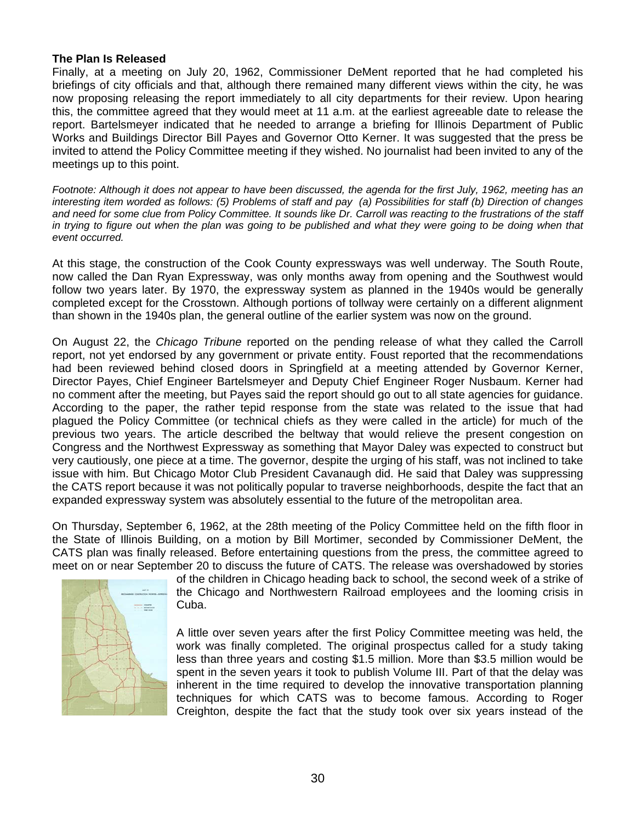#### **The Plan Is Released**

Finally, at a meeting on July 20, 1962, Commissioner DeMent reported that he had completed his briefings of city officials and that, although there remained many different views within the city, he was now proposing releasing the report immediately to all city departments for their review. Upon hearing this, the committee agreed that they would meet at 11 a.m. at the earliest agreeable date to release the report. Bartelsmeyer indicated that he needed to arrange a briefing for Illinois Department of Public Works and Buildings Director Bill Payes and Governor Otto Kerner. It was suggested that the press be invited to attend the Policy Committee meeting if they wished. No journalist had been invited to any of the meetings up to this point.

*Footnote: Although it does not appear to have been discussed, the agenda for the first July, 1962, meeting has an interesting item worded as follows: (5) Problems of staff and pay (a) Possibilities for staff (b) Direction of changes and need for some clue from Policy Committee. It sounds like Dr. Carroll was reacting to the frustrations of the staff*  in trying to figure out when the plan was going to be published and what they were going to be doing when that *event occurred.* 

At this stage, the construction of the Cook County expressways was well underway. The South Route, now called the Dan Ryan Expressway, was only months away from opening and the Southwest would follow two years later. By 1970, the expressway system as planned in the 1940s would be generally completed except for the Crosstown. Although portions of tollway were certainly on a different alignment than shown in the 1940s plan, the general outline of the earlier system was now on the ground.

On August 22, the *Chicago Tribune* reported on the pending release of what they called the Carroll report, not yet endorsed by any government or private entity. Foust reported that the recommendations had been reviewed behind closed doors in Springfield at a meeting attended by Governor Kerner, Director Payes, Chief Engineer Bartelsmeyer and Deputy Chief Engineer Roger Nusbaum. Kerner had no comment after the meeting, but Payes said the report should go out to all state agencies for guidance. According to the paper, the rather tepid response from the state was related to the issue that had plagued the Policy Committee (or technical chiefs as they were called in the article) for much of the previous two years. The article described the beltway that would relieve the present congestion on Congress and the Northwest Expressway as something that Mayor Daley was expected to construct but very cautiously, one piece at a time. The governor, despite the urging of his staff, was not inclined to take issue with him. But Chicago Motor Club President Cavanaugh did. He said that Daley was suppressing the CATS report because it was not politically popular to traverse neighborhoods, despite the fact that an expanded expressway system was absolutely essential to the future of the metropolitan area.

On Thursday, September 6, 1962, at the 28th meeting of the Policy Committee held on the fifth floor in the State of Illinois Building, on a motion by Bill Mortimer, seconded by Commissioner DeMent, the CATS plan was finally released. Before entertaining questions from the press, the committee agreed to meet on or near September 20 to discuss the future of CATS. The release was overshadowed by stories



of the children in Chicago heading back to school, the second week of a strike of the Chicago and Northwestern Railroad employees and the looming crisis in Cuba.

A little over seven years after the first Policy Committee meeting was held, the work was finally completed. The original prospectus called for a study taking less than three years and costing \$1.5 million. More than \$3.5 million would be spent in the seven years it took to publish Volume III. Part of that the delay was inherent in the time required to develop the innovative transportation planning techniques for which CATS was to become famous. According to Roger Creighton, despite the fact that the study took over six years instead of the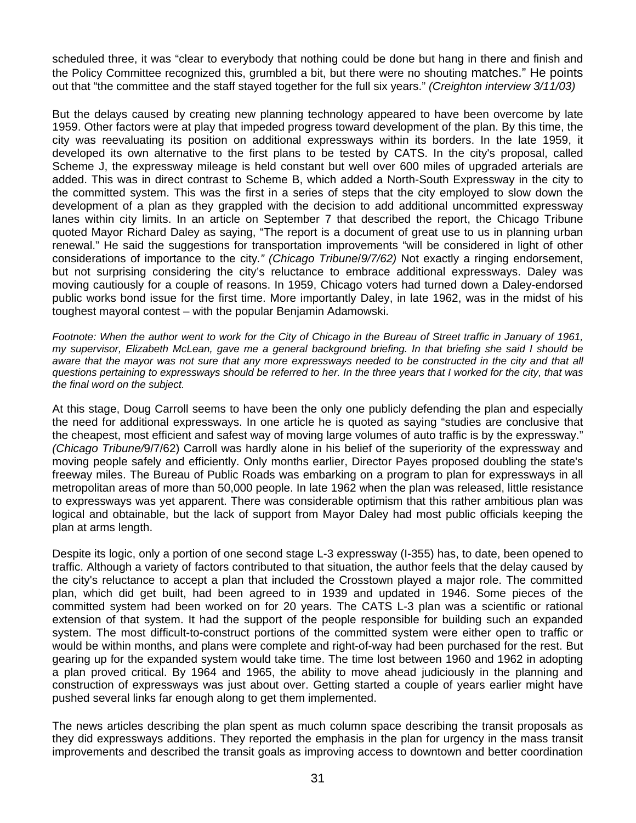scheduled three, it was "clear to everybody that nothing could be done but hang in there and finish and the Policy Committee recognized this, grumbled a bit, but there were no shouting matches." He points out that "the committee and the staff stayed together for the full six years." *(Creighton interview 3/11/03)* 

But the delays caused by creating new planning technology appeared to have been overcome by late 1959. Other factors were at play that impeded progress toward development of the plan. By this time, the city was reevaluating its position on additional expressways within its borders. In the late 1959, it developed its own alternative to the first plans to be tested by CATS. In the city's proposal, called Scheme J, the expressway mileage is held constant but well over 600 miles of upgraded arterials are added. This was in direct contrast to Scheme B, which added a North-South Expressway in the city to the committed system. This was the first in a series of steps that the city employed to slow down the development of a plan as they grappled with the decision to add additional uncommitted expressway lanes within city limits. In an article on September 7 that described the report, the Chicago Tribune quoted Mayor Richard Daley as saying, "The report is a document of great use to us in planning urban renewal." He said the suggestions for transportation improvements "will be considered in light of other considerations of importance to the city*." (Chicago Tribune*/*9/7/62)* Not exactly a ringing endorsement, but not surprising considering the city's reluctance to embrace additional expressways. Daley was moving cautiously for a couple of reasons. In 1959, Chicago voters had turned down a Daley-endorsed public works bond issue for the first time. More importantly Daley, in late 1962, was in the midst of his toughest mayoral contest – with the popular Benjamin Adamowski.

Footnote: When the author went to work for the City of Chicago in the Bureau of Street traffic in January of 1961, *my supervisor, Elizabeth McLean, gave me a general background briefing. In that briefing she said I should be*  aware that the mayor was not sure that any more expressways needed to be constructed in the city and that all *questions pertaining to expressways should be referred to her. In the three years that I worked for the city, that was the final word on the subject.* 

At this stage, Doug Carroll seems to have been the only one publicly defending the plan and especially the need for additional expressways. In one article he is quoted as saying "studies are conclusive that the cheapest, most efficient and safest way of moving large volumes of auto traffic is by the expressway." *(Chicago Tribune/*9/7/62) Carroll was hardly alone in his belief of the superiority of the expressway and moving people safely and efficiently. Only months earlier, Director Payes proposed doubling the state's freeway miles. The Bureau of Public Roads was embarking on a program to plan for expressways in all metropolitan areas of more than 50,000 people. In late 1962 when the plan was released, little resistance to expressways was yet apparent. There was considerable optimism that this rather ambitious plan was logical and obtainable, but the lack of support from Mayor Daley had most public officials keeping the plan at arms length.

Despite its logic, only a portion of one second stage L-3 expressway (I-355) has, to date, been opened to traffic. Although a variety of factors contributed to that situation, the author feels that the delay caused by the city's reluctance to accept a plan that included the Crosstown played a major role. The committed plan, which did get built, had been agreed to in 1939 and updated in 1946. Some pieces of the committed system had been worked on for 20 years. The CATS L-3 plan was a scientific or rational extension of that system. It had the support of the people responsible for building such an expanded system. The most difficult-to-construct portions of the committed system were either open to traffic or would be within months, and plans were complete and right-of-way had been purchased for the rest. But gearing up for the expanded system would take time. The time lost between 1960 and 1962 in adopting a plan proved critical. By 1964 and 1965, the ability to move ahead judiciously in the planning and construction of expressways was just about over. Getting started a couple of years earlier might have pushed several links far enough along to get them implemented.

The news articles describing the plan spent as much column space describing the transit proposals as they did expressways additions. They reported the emphasis in the plan for urgency in the mass transit improvements and described the transit goals as improving access to downtown and better coordination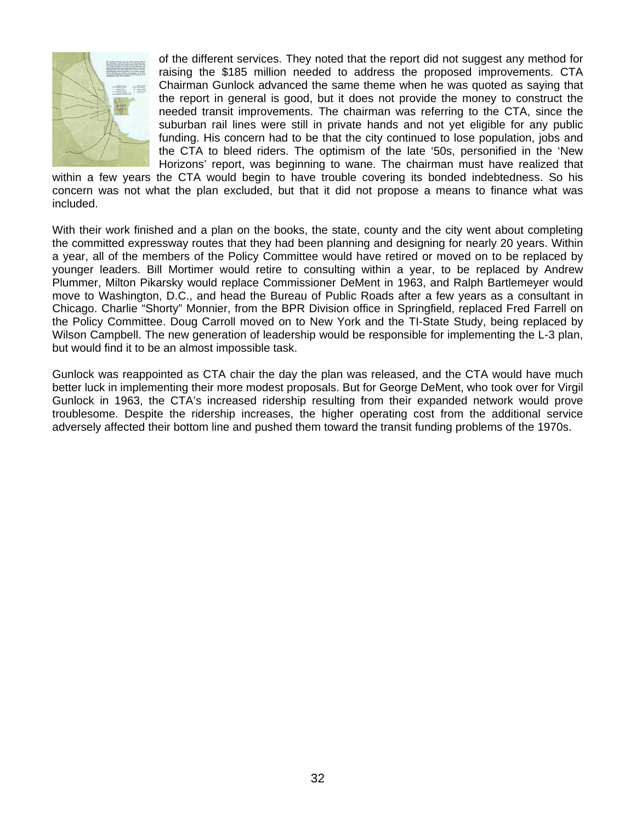

of the different services. They noted that the report did not suggest any method for raising the \$185 million needed to address the proposed improvements. CTA Chairman Gunlock advanced the same theme when he was quoted as saying that the report in general is good, but it does not provide the money to construct the needed transit improvements. The chairman was referring to the CTA, since the suburban rail lines were still in private hands and not yet eligible for any public funding. His concern had to be that the city continued to lose population, jobs and the CTA to bleed riders. The optimism of the late '50s, personified in the 'New Horizons' report, was beginning to wane. The chairman must have realized that

within a few years the CTA would begin to have trouble covering its bonded indebtedness. So his concern was not what the plan excluded, but that it did not propose a means to finance what was included.

With their work finished and a plan on the books, the state, county and the city went about completing the committed expressway routes that they had been planning and designing for nearly 20 years. Within a year, all of the members of the Policy Committee would have retired or moved on to be replaced by younger leaders. Bill Mortimer would retire to consulting within a year, to be replaced by Andrew Plummer, Milton Pikarsky would replace Commissioner DeMent in 1963, and Ralph Bartlemeyer would move to Washington, D.C., and head the Bureau of Public Roads after a few years as a consultant in Chicago. Charlie "Shorty" Monnier, from the BPR Division office in Springfield, replaced Fred Farrell on the Policy Committee. Doug Carroll moved on to New York and the TI-State Study, being replaced by Wilson Campbell. The new generation of leadership would be responsible for implementing the L-3 plan, but would find it to be an almost impossible task.

Gunlock was reappointed as CTA chair the day the plan was released, and the CTA would have much better luck in implementing their more modest proposals. But for George DeMent, who took over for Virgil Gunlock in 1963, the CTA's increased ridership resulting from their expanded network would prove troublesome. Despite the ridership increases, the higher operating cost from the additional service adversely affected their bottom line and pushed them toward the transit funding problems of the 1970s.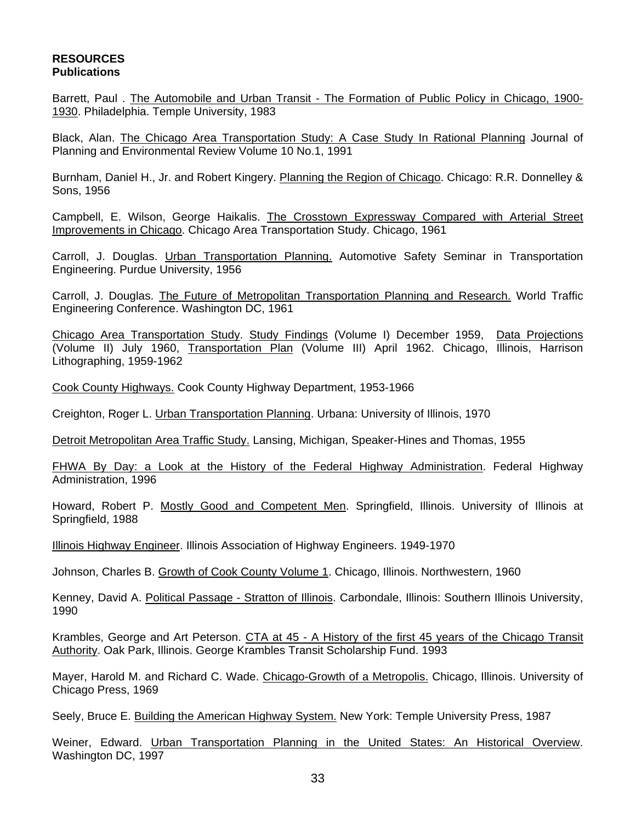#### **RESOURCES Publications**

Barrett, Paul . The Automobile and Urban Transit - The Formation of Public Policy in Chicago, 1900- 1930. Philadelphia. Temple University, 1983

Black, Alan. The Chicago Area Transportation Study: A Case Study In Rational Planning Journal of Planning and Environmental Review Volume 10 No.1, 1991

Burnham, Daniel H., Jr. and Robert Kingery. Planning the Region of Chicago. Chicago: R.R. Donnelley & Sons, 1956

Campbell, E. Wilson, George Haikalis. The Crosstown Expressway Compared with Arterial Street Improvements in Chicago. Chicago Area Transportation Study. Chicago, 1961

Carroll, J. Douglas. Urban Transportation Planning. Automotive Safety Seminar in Transportation Engineering. Purdue University, 1956

Carroll, J. Douglas. The Future of Metropolitan Transportation Planning and Research. World Traffic Engineering Conference. Washington DC, 1961

Chicago Area Transportation Study. Study Findings (Volume I) December 1959, Data Projections (Volume II) July 1960, Transportation Plan (Volume III) April 1962. Chicago, Illinois, Harrison Lithographing, 1959-1962

Cook County Highways. Cook County Highway Department, 1953-1966

Creighton, Roger L. Urban Transportation Planning. Urbana: University of Illinois, 1970

Detroit Metropolitan Area Traffic Study. Lansing, Michigan, Speaker-Hines and Thomas, 1955

FHWA By Day: a Look at the History of the Federal Highway Administration. Federal Highway Administration, 1996

Howard, Robert P. Mostly Good and Competent Men. Springfield, Illinois. University of Illinois at Springfield, 1988

Illinois Highway Engineer. Illinois Association of Highway Engineers. 1949-1970

Johnson, Charles B. Growth of Cook County Volume 1. Chicago, Illinois. Northwestern, 1960

Kenney, David A. Political Passage - Stratton of Illinois. Carbondale, Illinois: Southern Illinois University, 1990

Krambles, George and Art Peterson. CTA at 45 - A History of the first 45 years of the Chicago Transit Authority. Oak Park, Illinois. George Krambles Transit Scholarship Fund. 1993

Mayer, Harold M. and Richard C. Wade. Chicago-Growth of a Metropolis. Chicago, Illinois. University of Chicago Press, 1969

Seely, Bruce E. Building the American Highway System. New York: Temple University Press, 1987

Weiner, Edward. Urban Transportation Planning in the United States: An Historical Overview. Washington DC, 1997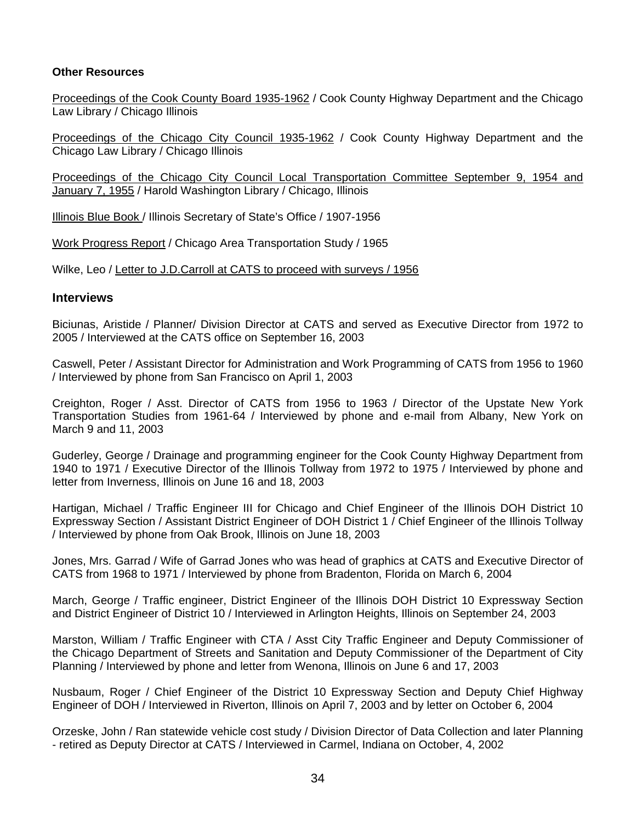#### **Other Resources**

Proceedings of the Cook County Board 1935-1962 / Cook County Highway Department and the Chicago Law Library / Chicago Illinois

Proceedings of the Chicago City Council 1935-1962 / Cook County Highway Department and the Chicago Law Library / Chicago Illinois

Proceedings of the Chicago City Council Local Transportation Committee September 9, 1954 and January 7, 1955 / Harold Washington Library / Chicago, Illinois

Illinois Blue Book / Illinois Secretary of State's Office / 1907-1956

Work Progress Report / Chicago Area Transportation Study / 1965

Wilke, Leo / Letter to J.D.Carroll at CATS to proceed with surveys / 1956

### **Interviews**

Biciunas, Aristide / Planner/ Division Director at CATS and served as Executive Director from 1972 to 2005 / Interviewed at the CATS office on September 16, 2003

Caswell, Peter / Assistant Director for Administration and Work Programming of CATS from 1956 to 1960 / Interviewed by phone from San Francisco on April 1, 2003

Creighton, Roger / Asst. Director of CATS from 1956 to 1963 / Director of the Upstate New York Transportation Studies from 1961-64 / Interviewed by phone and e-mail from Albany, New York on March 9 and 11, 2003

Guderley, George / Drainage and programming engineer for the Cook County Highway Department from 1940 to 1971 / Executive Director of the Illinois Tollway from 1972 to 1975 / Interviewed by phone and letter from Inverness, Illinois on June 16 and 18, 2003

Hartigan, Michael / Traffic Engineer III for Chicago and Chief Engineer of the Illinois DOH District 10 Expressway Section / Assistant District Engineer of DOH District 1 / Chief Engineer of the Illinois Tollway / Interviewed by phone from Oak Brook, Illinois on June 18, 2003

Jones, Mrs. Garrad / Wife of Garrad Jones who was head of graphics at CATS and Executive Director of CATS from 1968 to 1971 / Interviewed by phone from Bradenton, Florida on March 6, 2004

March, George / Traffic engineer, District Engineer of the Illinois DOH District 10 Expressway Section and District Engineer of District 10 / Interviewed in Arlington Heights, Illinois on September 24, 2003

Marston, William / Traffic Engineer with CTA / Asst City Traffic Engineer and Deputy Commissioner of the Chicago Department of Streets and Sanitation and Deputy Commissioner of the Department of City Planning / Interviewed by phone and letter from Wenona, Illinois on June 6 and 17, 2003

Nusbaum, Roger / Chief Engineer of the District 10 Expressway Section and Deputy Chief Highway Engineer of DOH / Interviewed in Riverton, Illinois on April 7, 2003 and by letter on October 6, 2004

Orzeske, John / Ran statewide vehicle cost study / Division Director of Data Collection and later Planning - retired as Deputy Director at CATS / Interviewed in Carmel, Indiana on October, 4, 2002